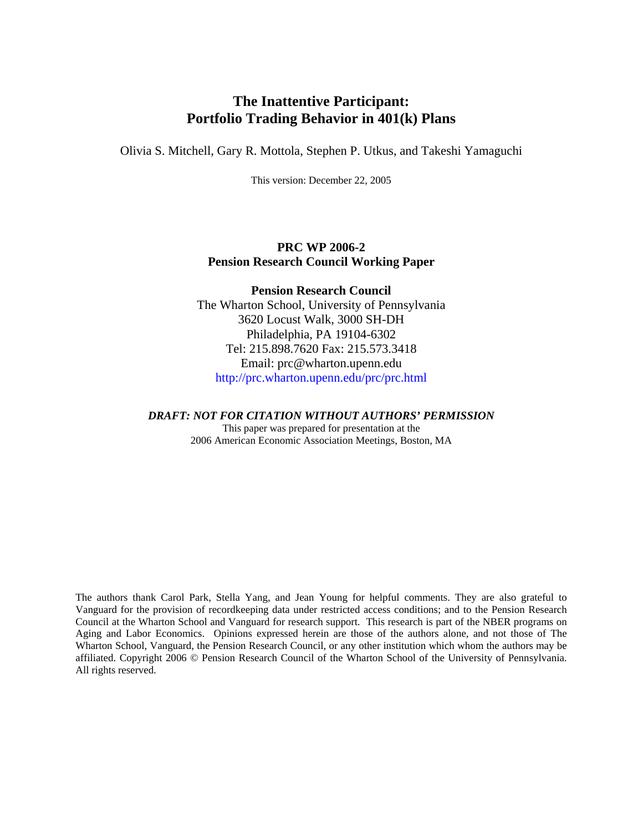# **The Inattentive Participant: Portfolio Trading Behavior in 401(k) Plans**

Olivia S. Mitchell, Gary R. Mottola, Stephen P. Utkus, and Takeshi Yamaguchi

This version: December 22, 2005

### **PRC WP 2006-2 Pension Research Council Working Paper**

### **Pension Research Council**

The Wharton School, University of Pennsylvania 3620 Locust Walk, 3000 SH-DH Philadelphia, PA 19104-6302 Tel: 215.898.7620 Fax: 215.573.3418 Email: prc@wharton.upenn.edu http://prc.wharton.upenn.edu/prc/prc.html

### *DRAFT: NOT FOR CITATION WITHOUT AUTHORS' PERMISSION*

This paper was prepared for presentation at the 2006 American Economic Association Meetings, Boston, MA

The authors thank Carol Park, Stella Yang, and Jean Young for helpful comments. They are also grateful to Vanguard for the provision of recordkeeping data under restricted access conditions; and to the Pension Research Council at the Wharton School and Vanguard for research support. This research is part of the NBER programs on Aging and Labor Economics. Opinions expressed herein are those of the authors alone, and not those of The Wharton School, Vanguard, the Pension Research Council, or any other institution which whom the authors may be affiliated. Copyright 2006 © Pension Research Council of the Wharton School of the University of Pennsylvania. All rights reserved.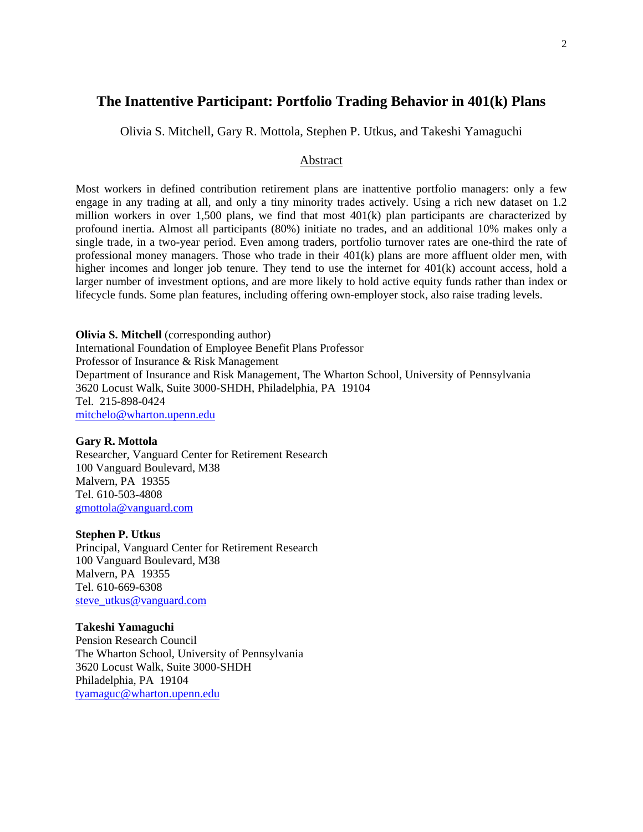## **The Inattentive Participant: Portfolio Trading Behavior in 401(k) Plans**

Olivia S. Mitchell, Gary R. Mottola, Stephen P. Utkus, and Takeshi Yamaguchi

#### Abstract

Most workers in defined contribution retirement plans are inattentive portfolio managers: only a few engage in any trading at all, and only a tiny minority trades actively. Using a rich new dataset on 1.2 million workers in over 1,500 plans, we find that most 401(k) plan participants are characterized by profound inertia. Almost all participants (80%) initiate no trades, and an additional 10% makes only a single trade, in a two-year period. Even among traders, portfolio turnover rates are one-third the rate of professional money managers. Those who trade in their 401(k) plans are more affluent older men, with higher incomes and longer job tenure. They tend to use the internet for 401(k) account access, hold a larger number of investment options, and are more likely to hold active equity funds rather than index or lifecycle funds. Some plan features, including offering own-employer stock, also raise trading levels.

**Olivia S. Mitchell** (corresponding author) International Foundation of Employee Benefit Plans Professor Professor of Insurance & Risk Management Department of Insurance and Risk Management, The Wharton School, University of Pennsylvania 3620 Locust Walk, Suite 3000-SHDH, Philadelphia, PA 19104 Tel. 215-898-0424 mitchelo@wharton.upenn.edu

#### **Gary R. Mottola**

Researcher, Vanguard Center for Retirement Research 100 Vanguard Boulevard, M38 Malvern, PA 19355 Tel. 610-503-4808 gmottola@vanguard.com

#### **Stephen P. Utkus**

Principal, Vanguard Center for Retirement Research 100 Vanguard Boulevard, M38 Malvern, PA 19355 Tel. 610-669-6308 steve\_utkus@vanguard.com

#### **Takeshi Yamaguchi**

Pension Research Council The Wharton School, University of Pennsylvania 3620 Locust Walk, Suite 3000-SHDH Philadelphia, PA 19104 tyamaguc@wharton.upenn.edu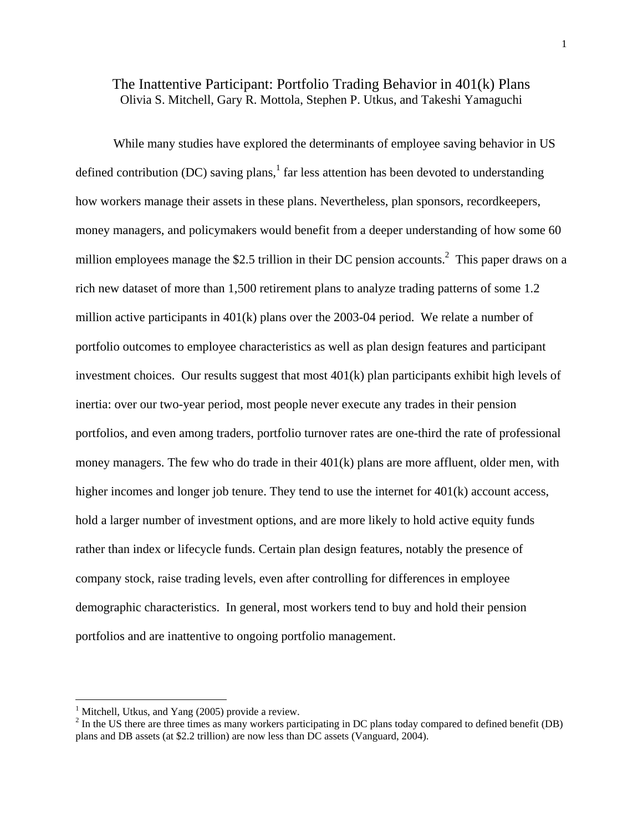## The Inattentive Participant: Portfolio Trading Behavior in 401(k) Plans Olivia S. Mitchell, Gary R. Mottola, Stephen P. Utkus, and Takeshi Yamaguchi

While many studies have explored the determinants of employee saving behavior in US defined contribution (DC) saving plans,<sup>1</sup> far less attention has been devoted to understanding how workers manage their assets in these plans. Nevertheless, plan sponsors, recordkeepers, money managers, and policymakers would benefit from a deeper understanding of how some 60 million employees manage the \$2.5 trillion in their DC pension accounts.<sup>2</sup> This paper draws on a rich new dataset of more than 1,500 retirement plans to analyze trading patterns of some 1.2 million active participants in 401(k) plans over the 2003-04 period. We relate a number of portfolio outcomes to employee characteristics as well as plan design features and participant investment choices. Our results suggest that most 401(k) plan participants exhibit high levels of inertia: over our two-year period, most people never execute any trades in their pension portfolios, and even among traders, portfolio turnover rates are one-third the rate of professional money managers. The few who do trade in their  $401(k)$  plans are more affluent, older men, with higher incomes and longer job tenure. They tend to use the internet for 401(k) account access, hold a larger number of investment options, and are more likely to hold active equity funds rather than index or lifecycle funds. Certain plan design features, notably the presence of company stock, raise trading levels, even after controlling for differences in employee demographic characteristics. In general, most workers tend to buy and hold their pension portfolios and are inattentive to ongoing portfolio management.

 $\overline{a}$ 

<sup>&</sup>lt;sup>1</sup> Mitchell, Utkus, and Yang (2005) provide a review.

 $2^2$  In the US there are three times as many workers participating in DC plans today compared to defined benefit (DB) plans and DB assets (at \$2.2 trillion) are now less than DC assets (Vanguard, 2004).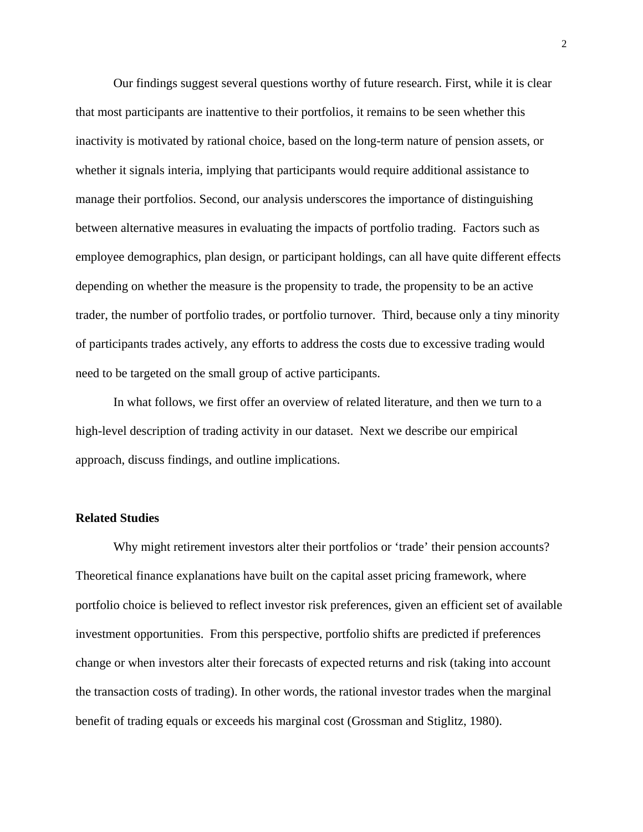Our findings suggest several questions worthy of future research. First, while it is clear that most participants are inattentive to their portfolios, it remains to be seen whether this inactivity is motivated by rational choice, based on the long-term nature of pension assets, or whether it signals interia, implying that participants would require additional assistance to manage their portfolios. Second, our analysis underscores the importance of distinguishing between alternative measures in evaluating the impacts of portfolio trading. Factors such as employee demographics, plan design, or participant holdings, can all have quite different effects depending on whether the measure is the propensity to trade, the propensity to be an active trader, the number of portfolio trades, or portfolio turnover. Third, because only a tiny minority of participants trades actively, any efforts to address the costs due to excessive trading would need to be targeted on the small group of active participants.

 In what follows, we first offer an overview of related literature, and then we turn to a high-level description of trading activity in our dataset. Next we describe our empirical approach, discuss findings, and outline implications.

### **Related Studies**

Why might retirement investors alter their portfolios or 'trade' their pension accounts? Theoretical finance explanations have built on the capital asset pricing framework, where portfolio choice is believed to reflect investor risk preferences, given an efficient set of available investment opportunities. From this perspective, portfolio shifts are predicted if preferences change or when investors alter their forecasts of expected returns and risk (taking into account the transaction costs of trading). In other words, the rational investor trades when the marginal benefit of trading equals or exceeds his marginal cost (Grossman and Stiglitz, 1980).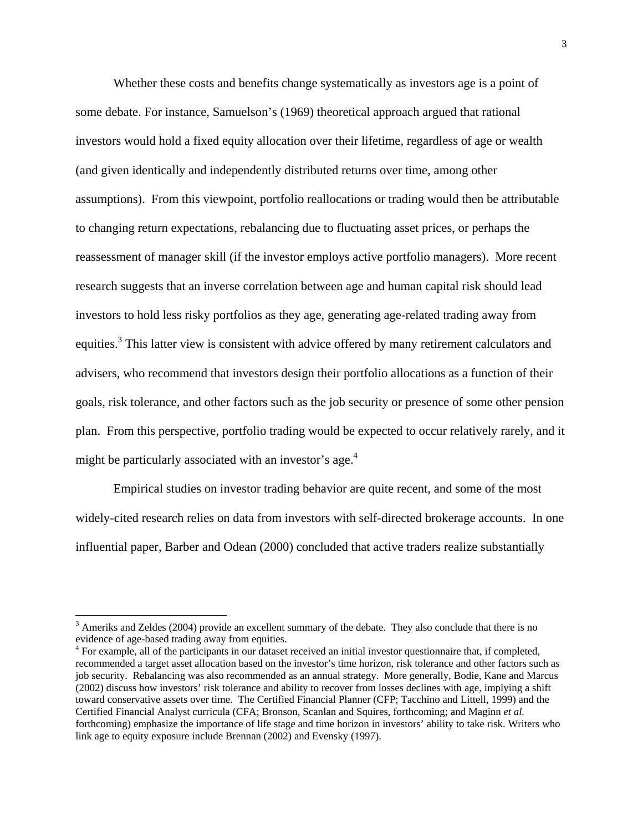Whether these costs and benefits change systematically as investors age is a point of some debate. For instance, Samuelson's (1969) theoretical approach argued that rational investors would hold a fixed equity allocation over their lifetime, regardless of age or wealth (and given identically and independently distributed returns over time, among other assumptions). From this viewpoint, portfolio reallocations or trading would then be attributable to changing return expectations, rebalancing due to fluctuating asset prices, or perhaps the reassessment of manager skill (if the investor employs active portfolio managers). More recent research suggests that an inverse correlation between age and human capital risk should lead investors to hold less risky portfolios as they age, generating age-related trading away from equities.<sup>3</sup> This latter view is consistent with advice offered by many retirement calculators and advisers, who recommend that investors design their portfolio allocations as a function of their goals, risk tolerance, and other factors such as the job security or presence of some other pension plan. From this perspective, portfolio trading would be expected to occur relatively rarely, and it might be particularly associated with an investor's age.<sup>4</sup>

Empirical studies on investor trading behavior are quite recent, and some of the most widely-cited research relies on data from investors with self-directed brokerage accounts. In one influential paper, Barber and Odean (2000) concluded that active traders realize substantially

 $\overline{a}$ 

 $3$  Ameriks and Zeldes (2004) provide an excellent summary of the debate. They also conclude that there is no evidence of age-based trading away from equities.

<sup>&</sup>lt;sup>4</sup> For example, all of the participants in our dataset received an initial investor questionnaire that, if completed, recommended a target asset allocation based on the investor's time horizon, risk tolerance and other factors such as job security. Rebalancing was also recommended as an annual strategy. More generally, Bodie, Kane and Marcus (2002) discuss how investors' risk tolerance and ability to recover from losses declines with age, implying a shift toward conservative assets over time. The Certified Financial Planner (CFP; Tacchino and Littell, 1999) and the Certified Financial Analyst curricula (CFA; Bronson, Scanlan and Squires, forthcoming; and Maginn *et al.* forthcoming) emphasize the importance of life stage and time horizon in investors' ability to take risk. Writers who link age to equity exposure include Brennan (2002) and Evensky (1997).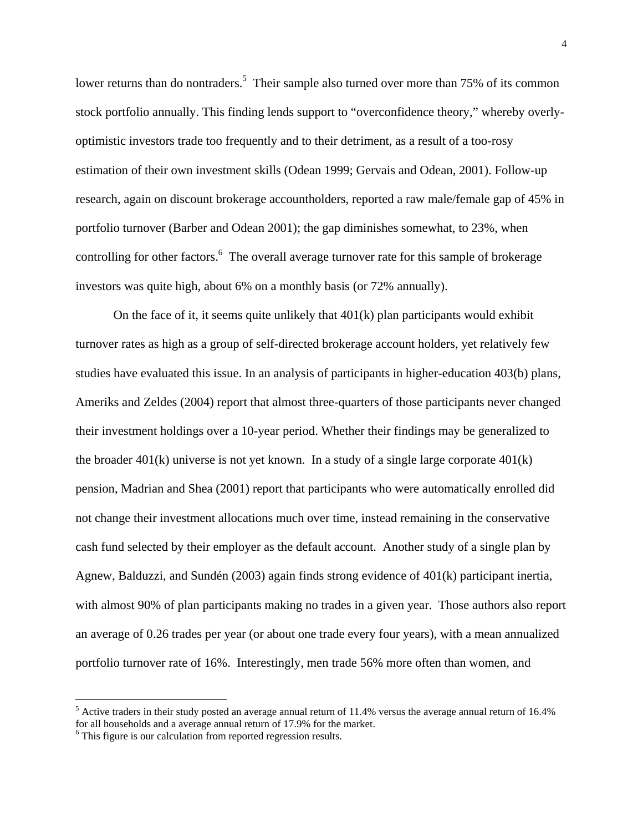lower returns than do nontraders.<sup>5</sup> Their sample also turned over more than 75% of its common stock portfolio annually. This finding lends support to "overconfidence theory," whereby overlyoptimistic investors trade too frequently and to their detriment, as a result of a too-rosy estimation of their own investment skills (Odean 1999; Gervais and Odean, 2001). Follow-up research, again on discount brokerage accountholders, reported a raw male/female gap of 45% in portfolio turnover (Barber and Odean 2001); the gap diminishes somewhat, to 23%, when controlling for other factors.<sup>6</sup> The overall average turnover rate for this sample of brokerage investors was quite high, about 6% on a monthly basis (or 72% annually).

On the face of it, it seems quite unlikely that 401(k) plan participants would exhibit turnover rates as high as a group of self-directed brokerage account holders, yet relatively few studies have evaluated this issue. In an analysis of participants in higher-education 403(b) plans, Ameriks and Zeldes (2004) report that almost three-quarters of those participants never changed their investment holdings over a 10-year period. Whether their findings may be generalized to the broader  $401(k)$  universe is not yet known. In a study of a single large corporate  $401(k)$ pension, Madrian and Shea (2001) report that participants who were automatically enrolled did not change their investment allocations much over time, instead remaining in the conservative cash fund selected by their employer as the default account. Another study of a single plan by Agnew, Balduzzi, and Sundén (2003) again finds strong evidence of 401(k) participant inertia, with almost 90% of plan participants making no trades in a given year. Those authors also report an average of 0.26 trades per year (or about one trade every four years), with a mean annualized portfolio turnover rate of 16%. Interestingly, men trade 56% more often than women, and

 $\overline{a}$ 

 $<sup>5</sup>$  Active traders in their study posted an average annual return of 11.4% versus the average annual return of 16.4%</sup> for all households and a average annual return of 17.9% for the market.

<sup>&</sup>lt;sup>6</sup> This figure is our calculation from reported regression results.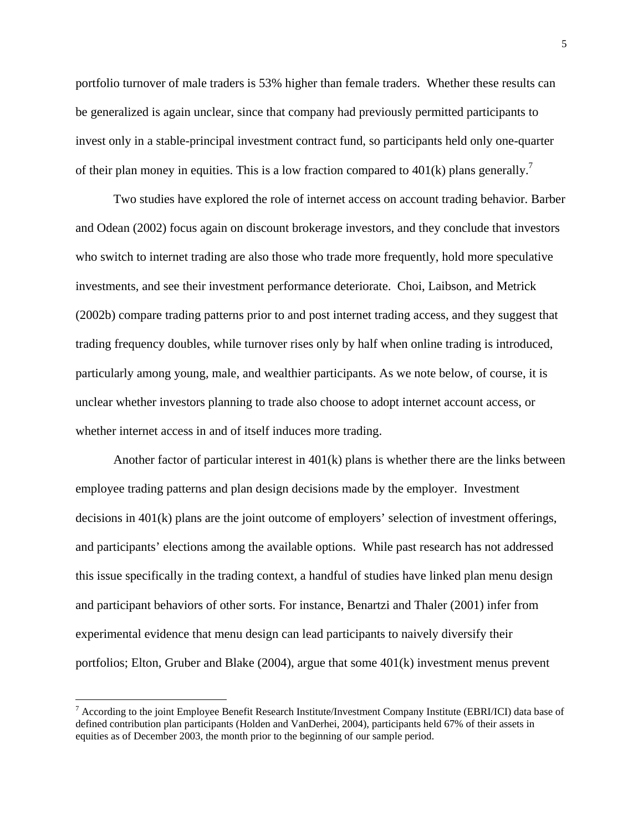portfolio turnover of male traders is 53% higher than female traders. Whether these results can be generalized is again unclear, since that company had previously permitted participants to invest only in a stable-principal investment contract fund, so participants held only one-quarter of their plan money in equities. This is a low fraction compared to  $401(k)$  plans generally.<sup>7</sup>

Two studies have explored the role of internet access on account trading behavior. Barber and Odean (2002) focus again on discount brokerage investors, and they conclude that investors who switch to internet trading are also those who trade more frequently, hold more speculative investments, and see their investment performance deteriorate. Choi, Laibson, and Metrick (2002b) compare trading patterns prior to and post internet trading access, and they suggest that trading frequency doubles, while turnover rises only by half when online trading is introduced, particularly among young, male, and wealthier participants. As we note below, of course, it is unclear whether investors planning to trade also choose to adopt internet account access, or whether internet access in and of itself induces more trading.

Another factor of particular interest in 401(k) plans is whether there are the links between employee trading patterns and plan design decisions made by the employer. Investment decisions in 401(k) plans are the joint outcome of employers' selection of investment offerings, and participants' elections among the available options. While past research has not addressed this issue specifically in the trading context, a handful of studies have linked plan menu design and participant behaviors of other sorts. For instance, Benartzi and Thaler (2001) infer from experimental evidence that menu design can lead participants to naively diversify their portfolios; Elton, Gruber and Blake (2004), argue that some 401(k) investment menus prevent

<u>.</u>

 $^7$  According to the joint Employee Benefit Research Institute/Investment Company Institute (EBRI/ICI) data base of defined contribution plan participants (Holden and VanDerhei, 2004), participants held 67% of their assets in equities as of December 2003, the month prior to the beginning of our sample period.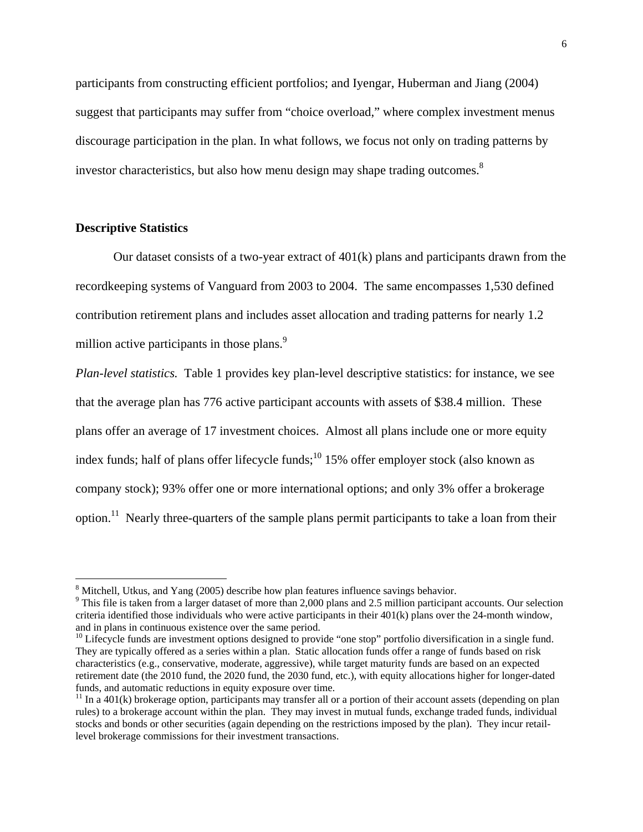participants from constructing efficient portfolios; and Iyengar, Huberman and Jiang (2004) suggest that participants may suffer from "choice overload," where complex investment menus discourage participation in the plan. In what follows, we focus not only on trading patterns by investor characteristics, but also how menu design may shape trading outcomes.<sup>8</sup>

### **Descriptive Statistics**

1

Our dataset consists of a two-year extract of 401(k) plans and participants drawn from the recordkeeping systems of Vanguard from 2003 to 2004. The same encompasses 1,530 defined contribution retirement plans and includes asset allocation and trading patterns for nearly 1.2 million active participants in those plans.<sup>9</sup>

*Plan-level statistics.* Table 1 provides key plan-level descriptive statistics: for instance, we see that the average plan has 776 active participant accounts with assets of \$38.4 million. These plans offer an average of 17 investment choices. Almost all plans include one or more equity index funds; half of plans offer lifecycle funds;  $^{10}$  15% offer employer stock (also known as company stock); 93% offer one or more international options; and only 3% offer a brokerage option.11 Nearly three-quarters of the sample plans permit participants to take a loan from their

<sup>&</sup>lt;sup>8</sup> Mitchell, Utkus, and Yang (2005) describe how plan features influence savings behavior.

<sup>&</sup>lt;sup>9</sup> This file is taken from a larger dataset of more than 2,000 plans and 2.5 million participant accounts. Our selection criteria identified those individuals who were active participants in their 401(k) plans over the 24-month window, and in plans in continuous existence over the same period.

<sup>&</sup>lt;sup>10</sup> Lifecycle funds are investment options designed to provide "one stop" portfolio diversification in a single fund. They are typically offered as a series within a plan. Static allocation funds offer a range of funds based on risk characteristics (e.g., conservative, moderate, aggressive), while target maturity funds are based on an expected retirement date (the 2010 fund, the 2020 fund, the 2030 fund, etc.), with equity allocations higher for longer-dated funds, and automatic reductions in equity exposure over time.

 $11$  In a 401(k) brokerage option, participants may transfer all or a portion of their account assets (depending on plan rules) to a brokerage account within the plan. They may invest in mutual funds, exchange traded funds, individual stocks and bonds or other securities (again depending on the restrictions imposed by the plan). They incur retaillevel brokerage commissions for their investment transactions.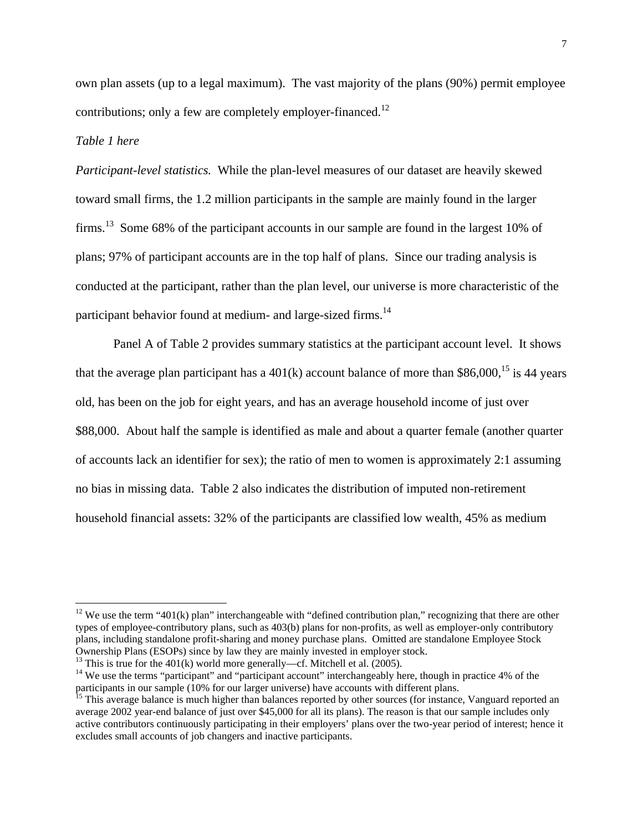own plan assets (up to a legal maximum). The vast majority of the plans (90%) permit employee contributions; only a few are completely employer-financed.<sup>12</sup>

### *Table 1 here*

1

*Participant-level statistics.* While the plan-level measures of our dataset are heavily skewed toward small firms, the 1.2 million participants in the sample are mainly found in the larger firms.<sup>13</sup> Some 68% of the participant accounts in our sample are found in the largest 10% of plans; 97% of participant accounts are in the top half of plans. Since our trading analysis is conducted at the participant, rather than the plan level, our universe is more characteristic of the participant behavior found at medium- and large-sized firms.<sup>14</sup>

Panel A of Table 2 provides summary statistics at the participant account level. It shows that the average plan participant has a  $401(k)$  account balance of more than \$86,000,<sup>15</sup> is 44 years old, has been on the job for eight years, and has an average household income of just over \$88,000. About half the sample is identified as male and about a quarter female (another quarter of accounts lack an identifier for sex); the ratio of men to women is approximately 2:1 assuming no bias in missing data. Table 2 also indicates the distribution of imputed non-retirement household financial assets: 32% of the participants are classified low wealth, 45% as medium

<sup>&</sup>lt;sup>12</sup> We use the term "401(k) plan" interchangeable with "defined contribution plan," recognizing that there are other types of employee-contributory plans, such as 403(b) plans for non-profits, as well as employer-only contributory plans, including standalone profit-sharing and money purchase plans. Omitted are standalone Employee Stock Ownership Plans (ESOPs) since by law they are mainly invested in employer stock.

<sup>&</sup>lt;sup>13</sup> This is true for the 401(k) world more generally—cf. Mitchell et al. (2005).

<sup>&</sup>lt;sup>14</sup> We use the terms "participant" and "participant account" interchangeably here, though in practice 4% of the participants in our sample (10% for our larger universe) have accounts with different plans.<br><sup>15</sup> This average balance is much higher than balances reported by other sources (for instance, Vanguard reported an

average 2002 year-end balance of just over \$45,000 for all its plans). The reason is that our sample includes only active contributors continuously participating in their employers' plans over the two-year period of interest; hence it excludes small accounts of job changers and inactive participants.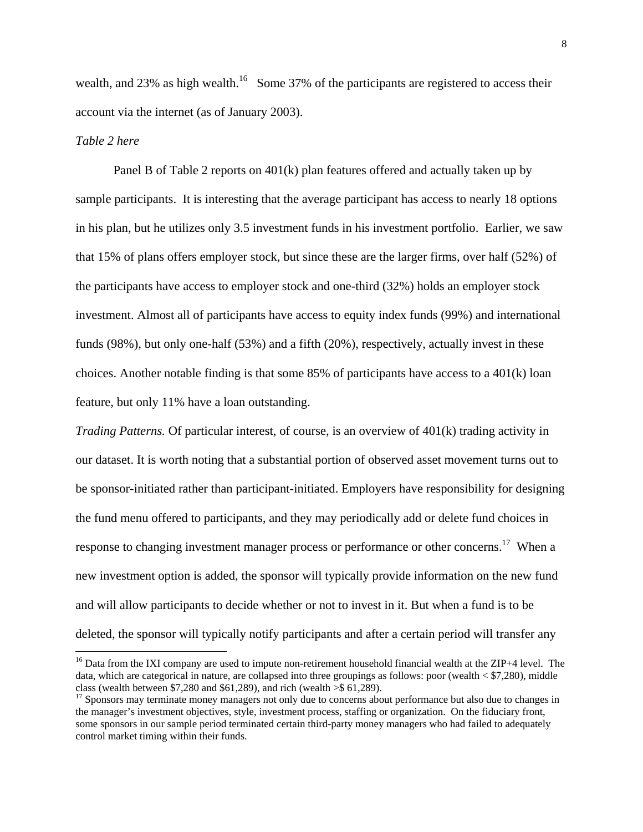wealth, and 23% as high wealth.<sup>16</sup> Some 37% of the participants are registered to access their account via the internet (as of January 2003).

### *Table 2 here*

 $\overline{a}$ 

Panel B of Table 2 reports on 401(k) plan features offered and actually taken up by sample participants. It is interesting that the average participant has access to nearly 18 options in his plan, but he utilizes only 3.5 investment funds in his investment portfolio. Earlier, we saw that 15% of plans offers employer stock, but since these are the larger firms, over half (52%) of the participants have access to employer stock and one-third (32%) holds an employer stock investment. Almost all of participants have access to equity index funds (99%) and international funds (98%), but only one-half (53%) and a fifth (20%), respectively, actually invest in these choices. Another notable finding is that some  $85\%$  of participants have access to a  $401(k)$  loan feature, but only 11% have a loan outstanding.

*Trading Patterns.* Of particular interest, of course, is an overview of 401(k) trading activity in our dataset. It is worth noting that a substantial portion of observed asset movement turns out to be sponsor-initiated rather than participant-initiated. Employers have responsibility for designing the fund menu offered to participants, and they may periodically add or delete fund choices in response to changing investment manager process or performance or other concerns.<sup>17</sup> When a new investment option is added, the sponsor will typically provide information on the new fund and will allow participants to decide whether or not to invest in it. But when a fund is to be deleted, the sponsor will typically notify participants and after a certain period will transfer any

<sup>&</sup>lt;sup>16</sup> Data from the IXI company are used to impute non-retirement household financial wealth at the ZIP+4 level. The data, which are categorical in nature, are collapsed into three groupings as follows: poor (wealth  $\leq$  \$7,280), middle class (wealth between \$7,280 and \$61,289), and rich (wealth  $\geq$  \$61,289).

<sup>&</sup>lt;sup>17</sup> Sponsors may terminate money managers not only due to concerns about performance but also due to changes in the manager's investment objectives, style, investment process, staffing or organization. On the fiduciary front, some sponsors in our sample period terminated certain third-party money managers who had failed to adequately control market timing within their funds.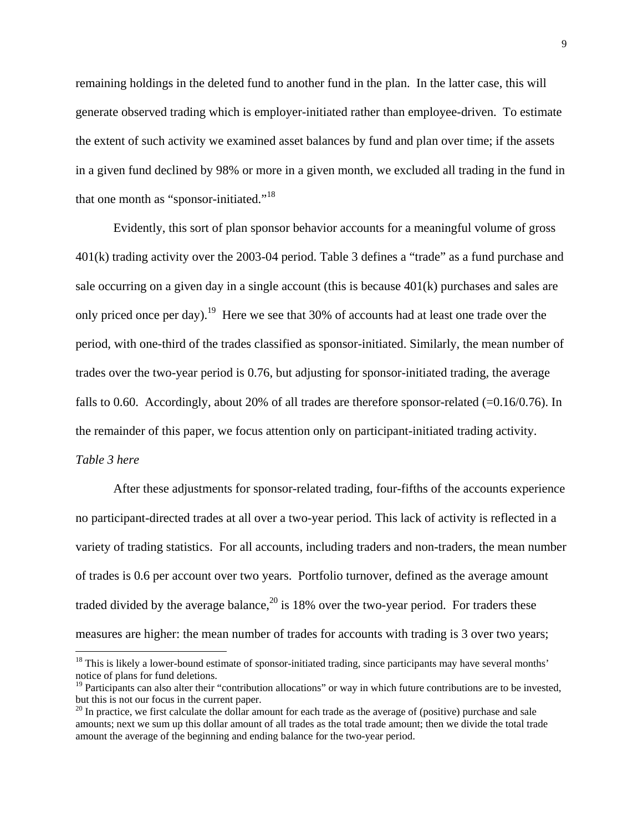remaining holdings in the deleted fund to another fund in the plan. In the latter case, this will generate observed trading which is employer-initiated rather than employee-driven. To estimate the extent of such activity we examined asset balances by fund and plan over time; if the assets in a given fund declined by 98% or more in a given month, we excluded all trading in the fund in that one month as "sponsor-initiated."<sup>18</sup>

Evidently, this sort of plan sponsor behavior accounts for a meaningful volume of gross 401(k) trading activity over the 2003-04 period. Table 3 defines a "trade" as a fund purchase and sale occurring on a given day in a single account (this is because 401(k) purchases and sales are only priced once per day).<sup>19</sup> Here we see that 30% of accounts had at least one trade over the period, with one-third of the trades classified as sponsor-initiated. Similarly, the mean number of trades over the two-year period is 0.76, but adjusting for sponsor-initiated trading, the average falls to 0.60. Accordingly, about 20% of all trades are therefore sponsor-related (=0.16/0.76). In the remainder of this paper, we focus attention only on participant-initiated trading activity. *Table 3 here* 

After these adjustments for sponsor-related trading, four-fifths of the accounts experience no participant-directed trades at all over a two-year period. This lack of activity is reflected in a variety of trading statistics. For all accounts, including traders and non-traders, the mean number of trades is 0.6 per account over two years. Portfolio turnover, defined as the average amount traded divided by the average balance,<sup>20</sup> is 18% over the two-year period. For traders these measures are higher: the mean number of trades for accounts with trading is 3 over two years;

 $\overline{a}$ 

 $18$  This is likely a lower-bound estimate of sponsor-initiated trading, since participants may have several months' notice of plans for fund deletions.

 $<sup>19</sup>$  Participants can also alter their "contribution allocations" or way in which future contributions are to be invested,</sup> but this is not our focus in the current paper.

 $^{20}$  In practice, we first calculate the dollar amount for each trade as the average of (positive) purchase and sale amounts; next we sum up this dollar amount of all trades as the total trade amount; then we divide the total trade amount the average of the beginning and ending balance for the two-year period.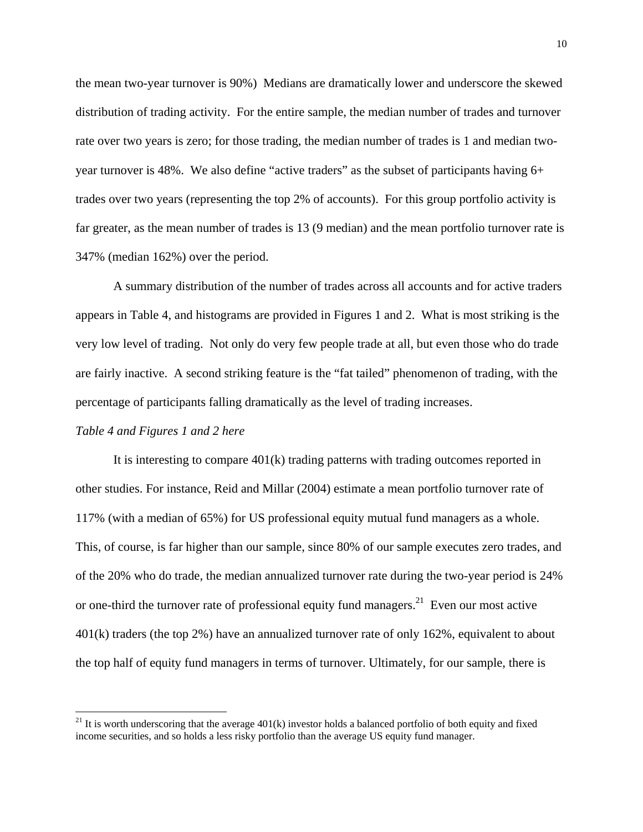the mean two-year turnover is 90%) Medians are dramatically lower and underscore the skewed distribution of trading activity. For the entire sample, the median number of trades and turnover rate over two years is zero; for those trading, the median number of trades is 1 and median twoyear turnover is 48%. We also define "active traders" as the subset of participants having 6+ trades over two years (representing the top 2% of accounts). For this group portfolio activity is far greater, as the mean number of trades is 13 (9 median) and the mean portfolio turnover rate is 347% (median 162%) over the period.

A summary distribution of the number of trades across all accounts and for active traders appears in Table 4, and histograms are provided in Figures 1 and 2. What is most striking is the very low level of trading. Not only do very few people trade at all, but even those who do trade are fairly inactive. A second striking feature is the "fat tailed" phenomenon of trading, with the percentage of participants falling dramatically as the level of trading increases.

#### *Table 4 and Figures 1 and 2 here*

 $\overline{a}$ 

It is interesting to compare 401(k) trading patterns with trading outcomes reported in other studies. For instance, Reid and Millar (2004) estimate a mean portfolio turnover rate of 117% (with a median of 65%) for US professional equity mutual fund managers as a whole. This, of course, is far higher than our sample, since 80% of our sample executes zero trades, and of the 20% who do trade, the median annualized turnover rate during the two-year period is 24% or one-third the turnover rate of professional equity fund managers.<sup>21</sup> Even our most active 401(k) traders (the top 2%) have an annualized turnover rate of only 162%, equivalent to about the top half of equity fund managers in terms of turnover. Ultimately, for our sample, there is

<sup>&</sup>lt;sup>21</sup> It is worth underscoring that the average  $401(k)$  investor holds a balanced portfolio of both equity and fixed income securities, and so holds a less risky portfolio than the average US equity fund manager.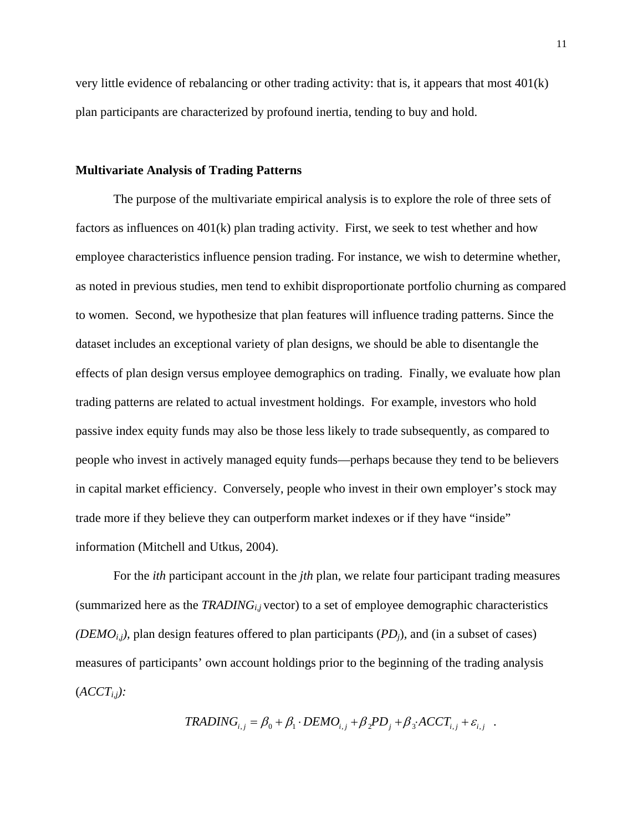very little evidence of rebalancing or other trading activity: that is, it appears that most 401(k) plan participants are characterized by profound inertia, tending to buy and hold.

### **Multivariate Analysis of Trading Patterns**

The purpose of the multivariate empirical analysis is to explore the role of three sets of factors as influences on  $401(k)$  plan trading activity. First, we seek to test whether and how employee characteristics influence pension trading. For instance, we wish to determine whether, as noted in previous studies, men tend to exhibit disproportionate portfolio churning as compared to women. Second, we hypothesize that plan features will influence trading patterns. Since the dataset includes an exceptional variety of plan designs, we should be able to disentangle the effects of plan design versus employee demographics on trading. Finally, we evaluate how plan trading patterns are related to actual investment holdings. For example, investors who hold passive index equity funds may also be those less likely to trade subsequently, as compared to people who invest in actively managed equity funds—perhaps because they tend to be believers in capital market efficiency. Conversely, people who invest in their own employer's stock may trade more if they believe they can outperform market indexes or if they have "inside" information (Mitchell and Utkus, 2004).

For the *ith* participant account in the *jth* plan, we relate four participant trading measures (summarized here as the *TRADINGi,j* vector) to a set of employee demographic characteristics *(DEMO<sub>i,j</sub>)*, plan design features offered to plan participants *(PD<sub>i</sub>)*, and *(in a subset of cases)* measures of participants' own account holdings prior to the beginning of the trading analysis  $(ACCT_{i,j}):$ 

$$
TRADING_{i,j} = \beta_0 + \beta_1 \cdot DEMO_{i,j} + \beta_2 PD_j + \beta_3 ACCT_{i,j} + \varepsilon_{i,j}.
$$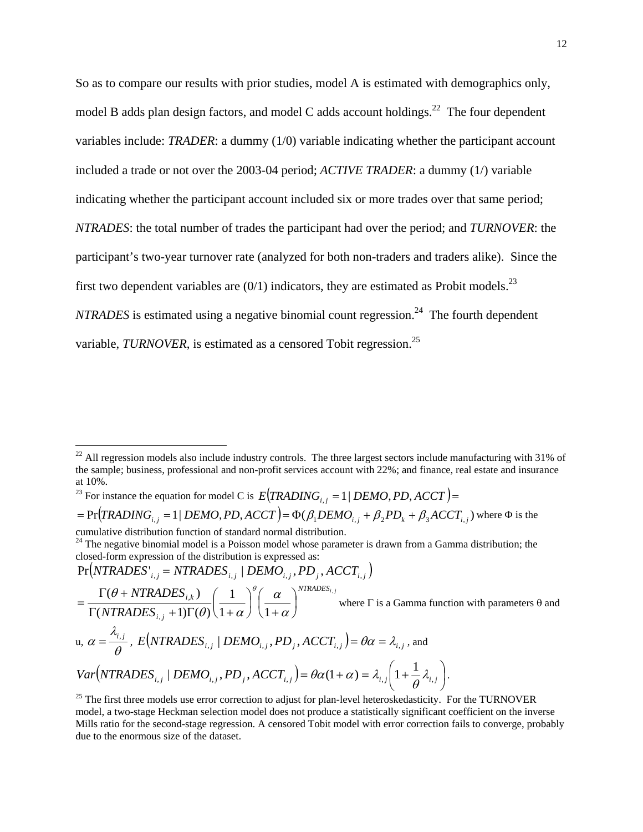So as to compare our results with prior studies, model A is estimated with demographics only, model B adds plan design factors, and model C adds account holdings.<sup>22</sup> The four dependent variables include: *TRADER*: a dummy (1/0) variable indicating whether the participant account included a trade or not over the 2003-04 period; *ACTIVE TRADER*: a dummy (1/) variable indicating whether the participant account included six or more trades over that same period; *NTRADES*: the total number of trades the participant had over the period; and *TURNOVER*: the participant's two-year turnover rate (analyzed for both non-traders and traders alike). Since the first two dependent variables are  $(0/1)$  indicators, they are estimated as Probit models.<sup>23</sup> *NTRADES* is estimated using a negative binomial count regression.<sup>24</sup> The fourth dependent variable, *TURNOVER*, is estimated as a censored Tobit regression.<sup>25</sup>

<sup>23</sup> For instance the equation for model C is  $E(TRADING_{i,j} = 1 | DEMO, PD, ACCT) =$ 

 $P = Pr( *TRADING*<sub>i,j</sub> = 1 | *DEMO*<sub>i</sub>, *PD*<sub>i</sub>, *ACCT* ) = \Phi(\beta_1DEMO_{i,j} + \beta_2PD_k + \beta_3ACCT_{i,j})$  where  $\Phi$  is the

cumulative distribution function of standard normal distribution.

 $\overline{a}$ 

 $Pr(NTRADES'_{i,j} = NTRADES_{i,j} | DEMO_{i,j}, PD_j, ACCT_{i,j})$ *NTRADESi <sup>j</sup> i j i k NTRADES*  $\begin{array}{ccc} NTRADES_{i,k}) & ( & 1 \end{array}$   $\begin{array}{ccc} \set{^{\theta}} & \alpha & \end{array}^{NTRADES_{i,k}}$  $1+\alpha$   $\left(1\right)$ 1  $(NTRADES_{i,i} + 1)\Gamma(\theta)$  $(\theta + NTRADES_{i,k})$ ,  $\left(\frac{k}{1-\epsilon}\right)\left(\frac{1}{1-\epsilon}\right)\left(\frac{u}{1-\epsilon}\right)$ ⎠  $\left(\frac{\alpha}{\alpha}\right)$ ⎝  $\sqrt{}$ +  $\sqrt{2}$ ⎠  $\left(\frac{1}{1-\epsilon}\right)$ ⎝  $\sqrt{}$  $\Gamma(NTRADES_{i,i} + 1)\Gamma(\theta)$   $(1 +$  $=\frac{\Gamma(\theta + NTRADES_{i,k})}{\Gamma(NTRADES_{i,k} + 1)\Gamma(\theta)}\left(\frac{1}{1+\alpha}\right)^{\theta}\left(\frac{\alpha}{1+\alpha}\right)$ α  $\theta$ )  $1+\alpha$  $\theta$  + NTRADES...) (1)<sup> $\theta$ </sup> where  $\Gamma$  is a Gamma function with parameters  $\theta$  and u,  $\alpha = \frac{R}{\theta}$ λ  $\alpha = \frac{\lambda_{i,j}}{\rho}$ ,  $E(NTRADES_{i,j} | DEMO_{i,j}, PD_j, ACCT_{i,j}) = \theta \alpha = \lambda_{i,j}$ , and  $(NTRADES_{i,j} | DEMO_{i,j}, PD_j, ACT_{i,j}) = \theta \alpha (1+\alpha) = \lambda_{i,j} | 1 + \frac{1}{\alpha} \lambda_{i,j} |$ ⎠  $\left(1+\frac{1}{2}\lambda_{i,i}\right)$ ⎝  $Var\left(\text{NTRADES}_{i,j} \mid \text{DEMO}_{i,j}, \text{PD}_{j}, \text{ACCT}_{i,j}\right) = \theta \alpha (1 + \alpha) = \lambda_{i,j} \left(1 + \frac{1}{\theta} \lambda_{i,j}\right).$ 

 $^{22}$  All regression models also include industry controls. The three largest sectors include manufacturing with 31% of the sample; business, professional and non-profit services account with 22%; and finance, real estate and insurance at 10%.

<sup>&</sup>lt;sup>24</sup> The negative binomial model is a Poisson model whose parameter is drawn from a Gamma distribution; the closed-form expression of the distribution is expressed as:

<sup>&</sup>lt;sup>25</sup> The first three models use error correction to adjust for plan-level heteroskedasticity. For the TURNOVER model, a two-stage Heckman selection model does not produce a statistically significant coefficient on the inverse Mills ratio for the second-stage regression. A censored Tobit model with error correction fails to converge, probably due to the enormous size of the dataset.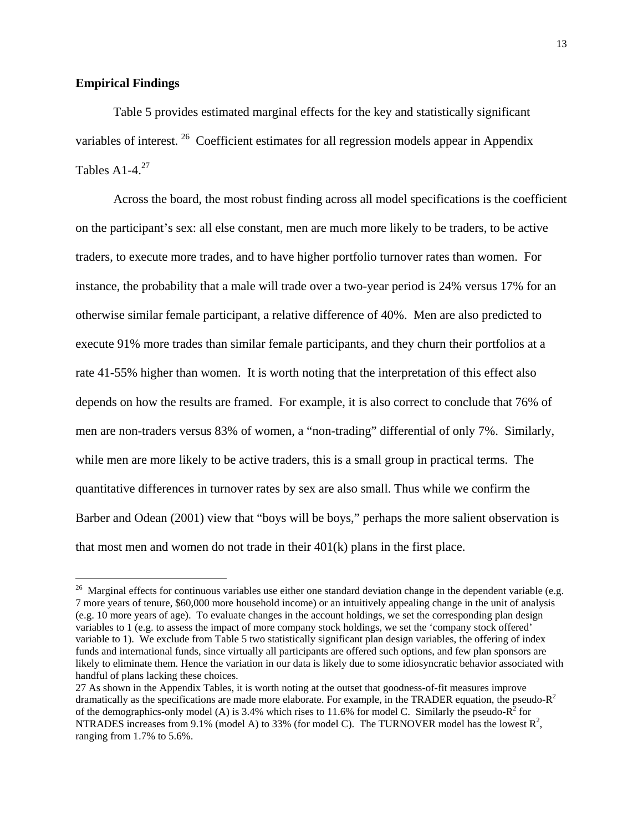### **Empirical Findings**

 $\overline{a}$ 

Table 5 provides estimated marginal effects for the key and statistically significant variables of interest.<sup>26</sup> Coefficient estimates for all regression models appear in Appendix Tables A<sub>1</sub>-4.<sup>27</sup>

Across the board, the most robust finding across all model specifications is the coefficient on the participant's sex: all else constant, men are much more likely to be traders, to be active traders, to execute more trades, and to have higher portfolio turnover rates than women. For instance, the probability that a male will trade over a two-year period is 24% versus 17% for an otherwise similar female participant, a relative difference of 40%. Men are also predicted to execute 91% more trades than similar female participants, and they churn their portfolios at a rate 41-55% higher than women. It is worth noting that the interpretation of this effect also depends on how the results are framed. For example, it is also correct to conclude that 76% of men are non-traders versus 83% of women, a "non-trading" differential of only 7%. Similarly, while men are more likely to be active traders, this is a small group in practical terms. The quantitative differences in turnover rates by sex are also small. Thus while we confirm the Barber and Odean (2001) view that "boys will be boys," perhaps the more salient observation is that most men and women do not trade in their 401(k) plans in the first place.

 $26$  Marginal effects for continuous variables use either one standard deviation change in the dependent variable (e.g. 7 more years of tenure, \$60,000 more household income) or an intuitively appealing change in the unit of analysis (e.g. 10 more years of age). To evaluate changes in the account holdings, we set the corresponding plan design variables to 1 (e.g. to assess the impact of more company stock holdings, we set the 'company stock offered' variable to 1). We exclude from Table 5 two statistically significant plan design variables, the offering of index funds and international funds, since virtually all participants are offered such options, and few plan sponsors are likely to eliminate them. Hence the variation in our data is likely due to some idiosyncratic behavior associated with handful of plans lacking these choices.

<sup>27</sup> As shown in the Appendix Tables, it is worth noting at the outset that goodness-of-fit measures improve dramatically as the specifications are made more elaborate. For example, in the TRADER equation, the pseudo- $R^2$ of the demographics-only model (A) is 3.4% which rises to 11.6% for model C. Similarly the pseudo- $R^2$  for NTRADES increases from 9.1% (model A) to 33% (for model C). The TURNOVER model has the lowest  $\mathbb{R}^2$ , ranging from 1.7% to 5.6%.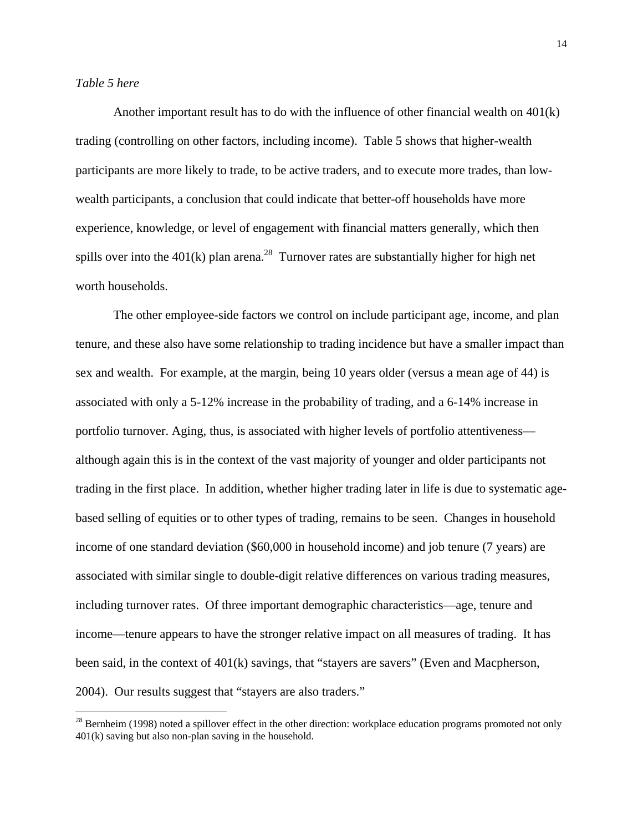$\overline{a}$ 

 Another important result has to do with the influence of other financial wealth on 401(k) trading (controlling on other factors, including income). Table 5 shows that higher-wealth participants are more likely to trade, to be active traders, and to execute more trades, than lowwealth participants, a conclusion that could indicate that better-off households have more experience, knowledge, or level of engagement with financial matters generally, which then spills over into the  $401(k)$  plan arena.<sup>28</sup> Turnover rates are substantially higher for high net worth households.

 The other employee-side factors we control on include participant age, income, and plan tenure, and these also have some relationship to trading incidence but have a smaller impact than sex and wealth. For example, at the margin, being 10 years older (versus a mean age of 44) is associated with only a 5-12% increase in the probability of trading, and a 6-14% increase in portfolio turnover. Aging, thus, is associated with higher levels of portfolio attentiveness although again this is in the context of the vast majority of younger and older participants not trading in the first place. In addition, whether higher trading later in life is due to systematic agebased selling of equities or to other types of trading, remains to be seen. Changes in household income of one standard deviation (\$60,000 in household income) and job tenure (7 years) are associated with similar single to double-digit relative differences on various trading measures, including turnover rates. Of three important demographic characteristics—age, tenure and income—tenure appears to have the stronger relative impact on all measures of trading. It has been said, in the context of 401(k) savings, that "stayers are savers" (Even and Macpherson, 2004). Our results suggest that "stayers are also traders."

 $^{28}$  Bernheim (1998) noted a spillover effect in the other direction: workplace education programs promoted not only 401(k) saving but also non-plan saving in the household.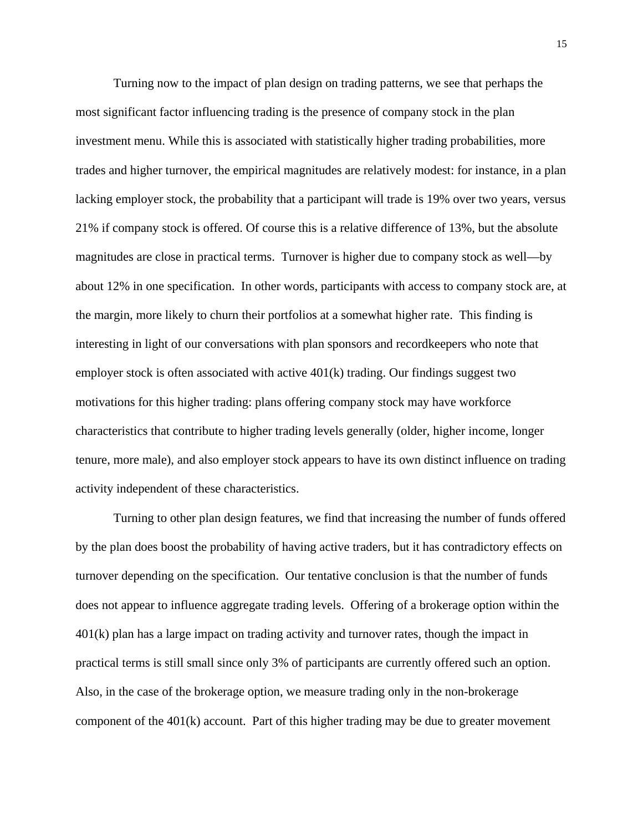Turning now to the impact of plan design on trading patterns, we see that perhaps the most significant factor influencing trading is the presence of company stock in the plan investment menu. While this is associated with statistically higher trading probabilities, more trades and higher turnover, the empirical magnitudes are relatively modest: for instance, in a plan lacking employer stock, the probability that a participant will trade is 19% over two years, versus 21% if company stock is offered. Of course this is a relative difference of 13%, but the absolute magnitudes are close in practical terms. Turnover is higher due to company stock as well—by about 12% in one specification. In other words, participants with access to company stock are, at the margin, more likely to churn their portfolios at a somewhat higher rate. This finding is interesting in light of our conversations with plan sponsors and recordkeepers who note that employer stock is often associated with active 401(k) trading. Our findings suggest two motivations for this higher trading: plans offering company stock may have workforce characteristics that contribute to higher trading levels generally (older, higher income, longer tenure, more male), and also employer stock appears to have its own distinct influence on trading activity independent of these characteristics.

Turning to other plan design features, we find that increasing the number of funds offered by the plan does boost the probability of having active traders, but it has contradictory effects on turnover depending on the specification. Our tentative conclusion is that the number of funds does not appear to influence aggregate trading levels. Offering of a brokerage option within the 401(k) plan has a large impact on trading activity and turnover rates, though the impact in practical terms is still small since only 3% of participants are currently offered such an option. Also, in the case of the brokerage option, we measure trading only in the non-brokerage component of the 401(k) account. Part of this higher trading may be due to greater movement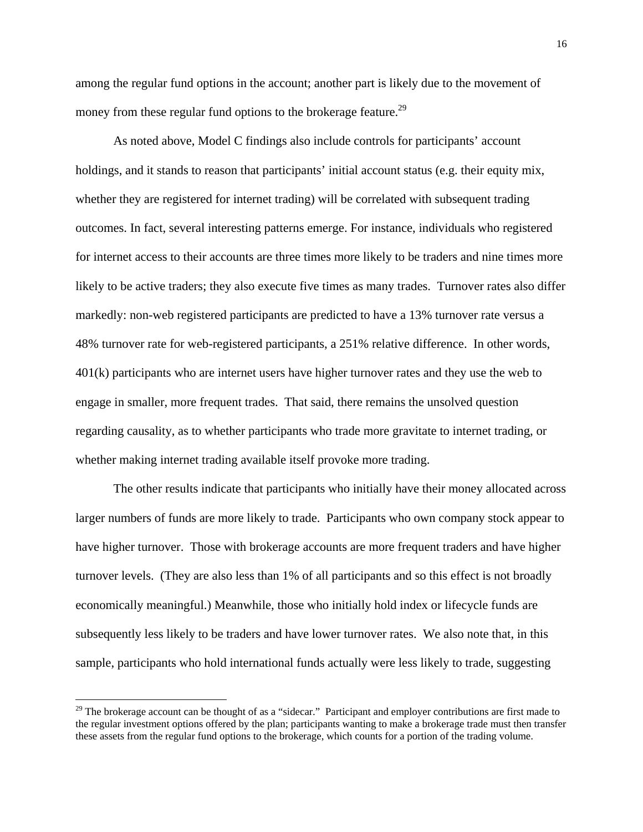among the regular fund options in the account; another part is likely due to the movement of money from these regular fund options to the brokerage feature.<sup>29</sup>

As noted above, Model C findings also include controls for participants' account holdings, and it stands to reason that participants' initial account status (e.g. their equity mix, whether they are registered for internet trading) will be correlated with subsequent trading outcomes. In fact, several interesting patterns emerge. For instance, individuals who registered for internet access to their accounts are three times more likely to be traders and nine times more likely to be active traders; they also execute five times as many trades. Turnover rates also differ markedly: non-web registered participants are predicted to have a 13% turnover rate versus a 48% turnover rate for web-registered participants, a 251% relative difference. In other words, 401(k) participants who are internet users have higher turnover rates and they use the web to engage in smaller, more frequent trades. That said, there remains the unsolved question regarding causality, as to whether participants who trade more gravitate to internet trading, or whether making internet trading available itself provoke more trading.

The other results indicate that participants who initially have their money allocated across larger numbers of funds are more likely to trade. Participants who own company stock appear to have higher turnover. Those with brokerage accounts are more frequent traders and have higher turnover levels. (They are also less than 1% of all participants and so this effect is not broadly economically meaningful.) Meanwhile, those who initially hold index or lifecycle funds are subsequently less likely to be traders and have lower turnover rates. We also note that, in this sample, participants who hold international funds actually were less likely to trade, suggesting

<u>.</u>

 $29$  The brokerage account can be thought of as a "sidecar." Participant and employer contributions are first made to the regular investment options offered by the plan; participants wanting to make a brokerage trade must then transfer these assets from the regular fund options to the brokerage, which counts for a portion of the trading volume.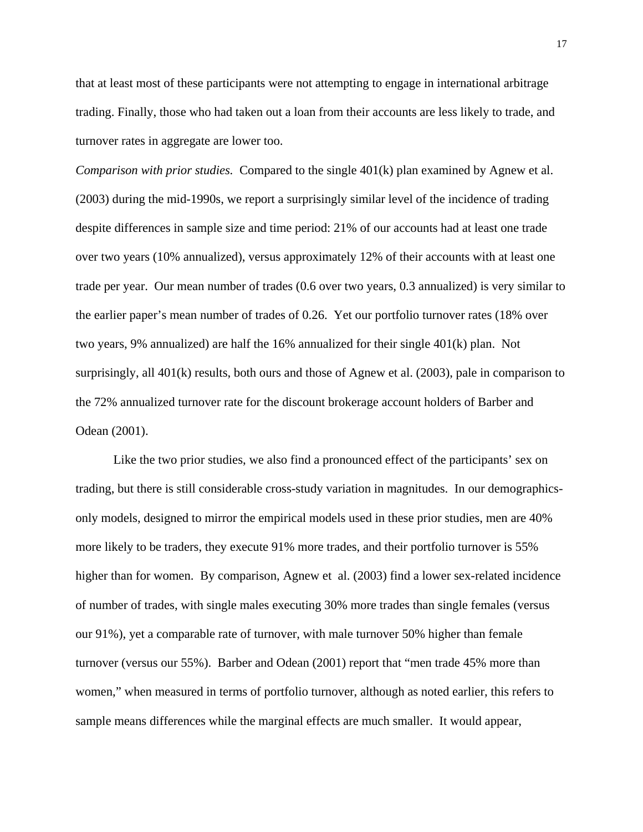that at least most of these participants were not attempting to engage in international arbitrage trading. Finally, those who had taken out a loan from their accounts are less likely to trade, and turnover rates in aggregate are lower too.

*Comparison with prior studies.* Compared to the single 401(k) plan examined by Agnew et al. (2003) during the mid-1990s, we report a surprisingly similar level of the incidence of trading despite differences in sample size and time period: 21% of our accounts had at least one trade over two years (10% annualized), versus approximately 12% of their accounts with at least one trade per year. Our mean number of trades (0.6 over two years, 0.3 annualized) is very similar to the earlier paper's mean number of trades of 0.26. Yet our portfolio turnover rates (18% over two years, 9% annualized) are half the 16% annualized for their single 401(k) plan. Not surprisingly, all 401(k) results, both ours and those of Agnew et al. (2003), pale in comparison to the 72% annualized turnover rate for the discount brokerage account holders of Barber and Odean (2001).

Like the two prior studies, we also find a pronounced effect of the participants' sex on trading, but there is still considerable cross-study variation in magnitudes. In our demographicsonly models, designed to mirror the empirical models used in these prior studies, men are 40% more likely to be traders, they execute 91% more trades, and their portfolio turnover is 55% higher than for women. By comparison, Agnew et al. (2003) find a lower sex-related incidence of number of trades, with single males executing 30% more trades than single females (versus our 91%), yet a comparable rate of turnover, with male turnover 50% higher than female turnover (versus our 55%). Barber and Odean (2001) report that "men trade 45% more than women," when measured in terms of portfolio turnover, although as noted earlier, this refers to sample means differences while the marginal effects are much smaller. It would appear,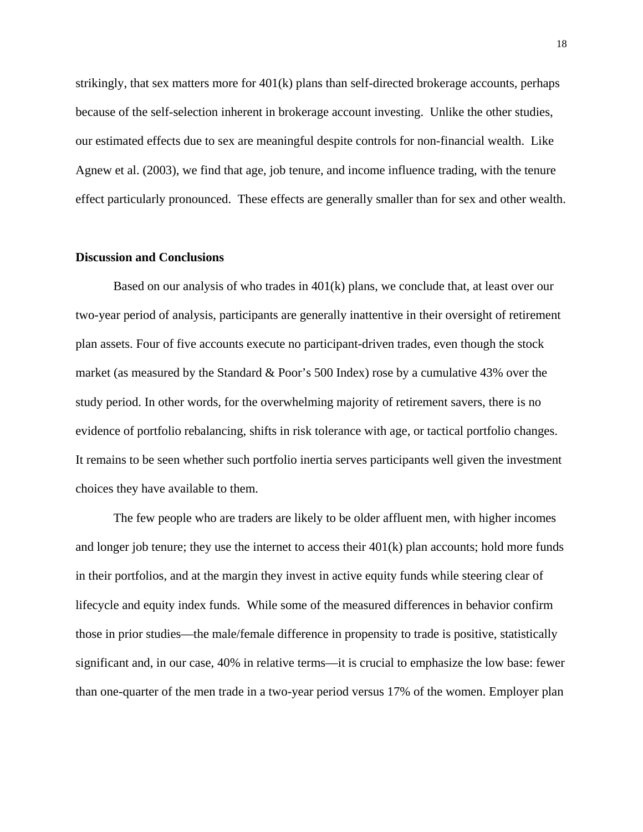strikingly, that sex matters more for  $401(k)$  plans than self-directed brokerage accounts, perhaps because of the self-selection inherent in brokerage account investing. Unlike the other studies, our estimated effects due to sex are meaningful despite controls for non-financial wealth. Like Agnew et al. (2003), we find that age, job tenure, and income influence trading, with the tenure effect particularly pronounced. These effects are generally smaller than for sex and other wealth.

### **Discussion and Conclusions**

Based on our analysis of who trades in  $401(k)$  plans, we conclude that, at least over our two-year period of analysis, participants are generally inattentive in their oversight of retirement plan assets. Four of five accounts execute no participant-driven trades, even though the stock market (as measured by the Standard & Poor's 500 Index) rose by a cumulative 43% over the study period. In other words, for the overwhelming majority of retirement savers, there is no evidence of portfolio rebalancing, shifts in risk tolerance with age, or tactical portfolio changes. It remains to be seen whether such portfolio inertia serves participants well given the investment choices they have available to them.

The few people who are traders are likely to be older affluent men, with higher incomes and longer job tenure; they use the internet to access their  $401(k)$  plan accounts; hold more funds in their portfolios, and at the margin they invest in active equity funds while steering clear of lifecycle and equity index funds. While some of the measured differences in behavior confirm those in prior studies—the male/female difference in propensity to trade is positive, statistically significant and, in our case, 40% in relative terms—it is crucial to emphasize the low base: fewer than one-quarter of the men trade in a two-year period versus 17% of the women. Employer plan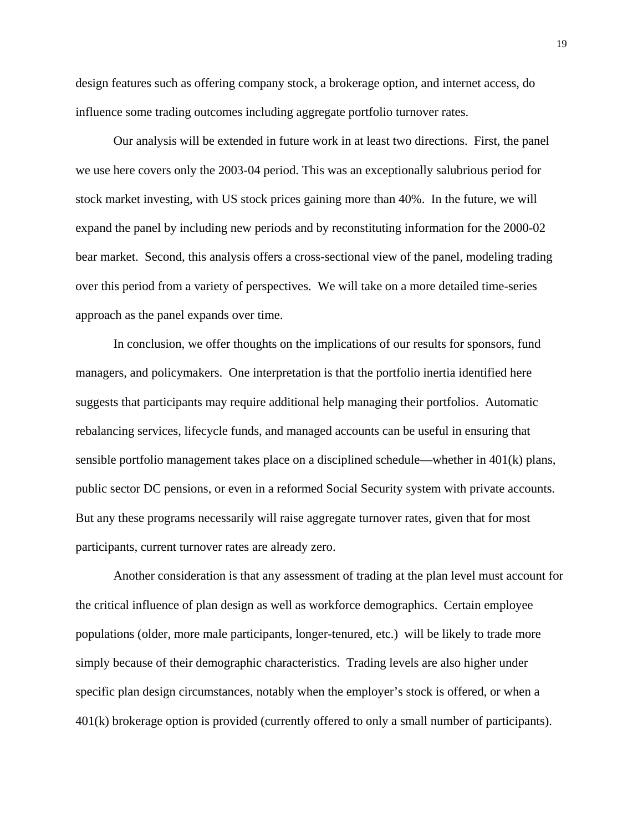design features such as offering company stock, a brokerage option, and internet access, do influence some trading outcomes including aggregate portfolio turnover rates.

Our analysis will be extended in future work in at least two directions. First, the panel we use here covers only the 2003-04 period. This was an exceptionally salubrious period for stock market investing, with US stock prices gaining more than 40%. In the future, we will expand the panel by including new periods and by reconstituting information for the 2000-02 bear market. Second, this analysis offers a cross-sectional view of the panel, modeling trading over this period from a variety of perspectives. We will take on a more detailed time-series approach as the panel expands over time.

 In conclusion, we offer thoughts on the implications of our results for sponsors, fund managers, and policymakers. One interpretation is that the portfolio inertia identified here suggests that participants may require additional help managing their portfolios. Automatic rebalancing services, lifecycle funds, and managed accounts can be useful in ensuring that sensible portfolio management takes place on a disciplined schedule—whether in 401(k) plans, public sector DC pensions, or even in a reformed Social Security system with private accounts. But any these programs necessarily will raise aggregate turnover rates, given that for most participants, current turnover rates are already zero.

Another consideration is that any assessment of trading at the plan level must account for the critical influence of plan design as well as workforce demographics. Certain employee populations (older, more male participants, longer-tenured, etc.) will be likely to trade more simply because of their demographic characteristics. Trading levels are also higher under specific plan design circumstances, notably when the employer's stock is offered, or when a 401(k) brokerage option is provided (currently offered to only a small number of participants).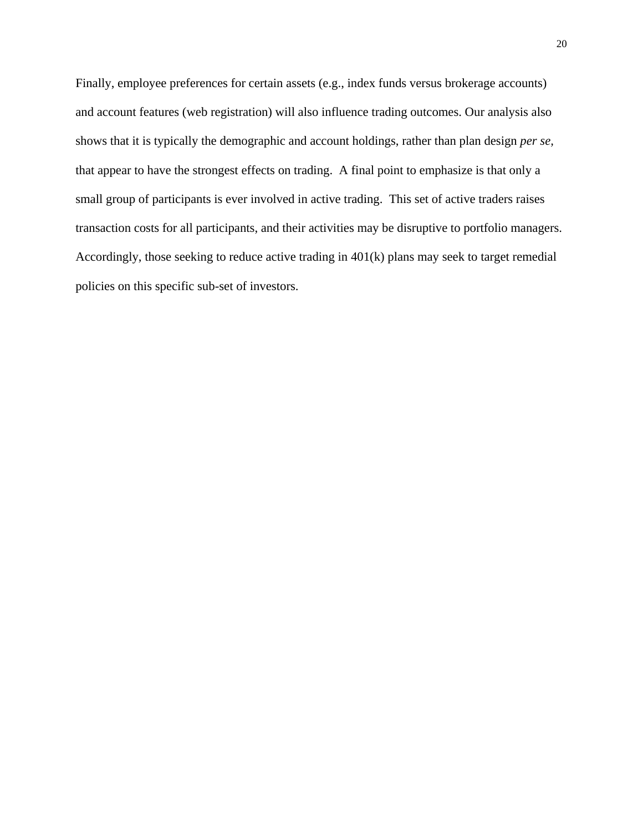Finally, employee preferences for certain assets (e.g., index funds versus brokerage accounts) and account features (web registration) will also influence trading outcomes. Our analysis also shows that it is typically the demographic and account holdings, rather than plan design *per se,* that appear to have the strongest effects on trading. A final point to emphasize is that only a small group of participants is ever involved in active trading. This set of active traders raises transaction costs for all participants, and their activities may be disruptive to portfolio managers. Accordingly, those seeking to reduce active trading in 401(k) plans may seek to target remedial policies on this specific sub-set of investors.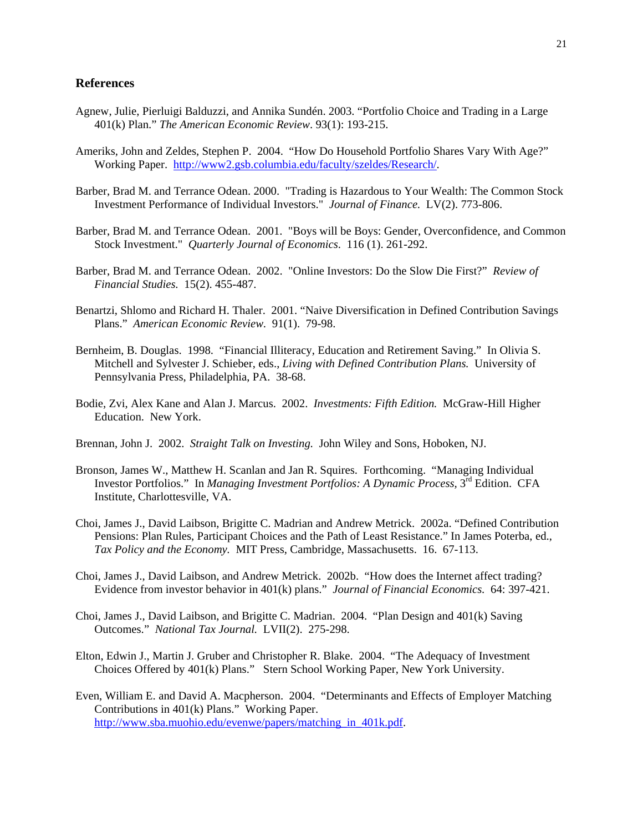#### **References**

- Agnew, Julie, Pierluigi Balduzzi, and Annika Sundén. 2003. "Portfolio Choice and Trading in a Large 401(k) Plan." *The American Economic Review*. 93(1): 193-215.
- Ameriks, John and Zeldes, Stephen P. 2004. "How Do Household Portfolio Shares Vary With Age?" Working Paper. http://www2.gsb.columbia.edu/faculty/szeldes/Research/.
- Barber, Brad M. and Terrance Odean. 2000. "Trading is Hazardous to Your Wealth: The Common Stock Investment Performance of Individual Investors." *Journal of Finance.* LV(2). 773-806.
- Barber, Brad M. and Terrance Odean. 2001. "Boys will be Boys: Gender, Overconfidence, and Common Stock Investment." *Quarterly Journal of Economics*. 116 (1). 261-292.
- Barber, Brad M. and Terrance Odean. 2002. "Online Investors: Do the Slow Die First?" *Review of Financial Studies.* 15(2). 455-487.
- Benartzi, Shlomo and Richard H. Thaler. 2001. "Naive Diversification in Defined Contribution Savings Plans." *American Economic Review.* 91(1). 79-98.
- Bernheim, B. Douglas. 1998. "Financial Illiteracy, Education and Retirement Saving." In Olivia S. Mitchell and Sylvester J. Schieber, eds., *Living with Defined Contribution Plans.* University of Pennsylvania Press, Philadelphia, PA. 38-68.
- Bodie, Zvi, Alex Kane and Alan J. Marcus. 2002. *Investments: Fifth Edition.* McGraw-Hill Higher Education. New York.
- Brennan, John J. 2002. *Straight Talk on Investing.* John Wiley and Sons, Hoboken, NJ.
- Bronson, James W., Matthew H. Scanlan and Jan R. Squires. Forthcoming. "Managing Individual Investor Portfolios." In *Managing Investment Portfolios: A Dynamic Process*, 3<sup>rd</sup> Edition. CFA Institute, Charlottesville, VA.
- Choi, James J., David Laibson, Brigitte C. Madrian and Andrew Metrick. 2002a. "Defined Contribution Pensions: Plan Rules, Participant Choices and the Path of Least Resistance." In James Poterba, ed., *Tax Policy and the Economy.* MIT Press, Cambridge, Massachusetts. 16. 67-113.
- Choi, James J., David Laibson, and Andrew Metrick. 2002b. "How does the Internet affect trading? Evidence from investor behavior in 401(k) plans." *Journal of Financial Economics.* 64: 397-421.
- Choi, James J., David Laibson, and Brigitte C. Madrian. 2004. "Plan Design and 401(k) Saving Outcomes." *National Tax Journal.* LVII(2). 275-298.
- Elton, Edwin J., Martin J. Gruber and Christopher R. Blake. 2004. "The Adequacy of Investment Choices Offered by 401(k) Plans." Stern School Working Paper, New York University.
- Even, William E. and David A. Macpherson. 2004. "Determinants and Effects of Employer Matching Contributions in 401(k) Plans." Working Paper. http://www.sba.muohio.edu/evenwe/papers/matching\_in\_401k.pdf.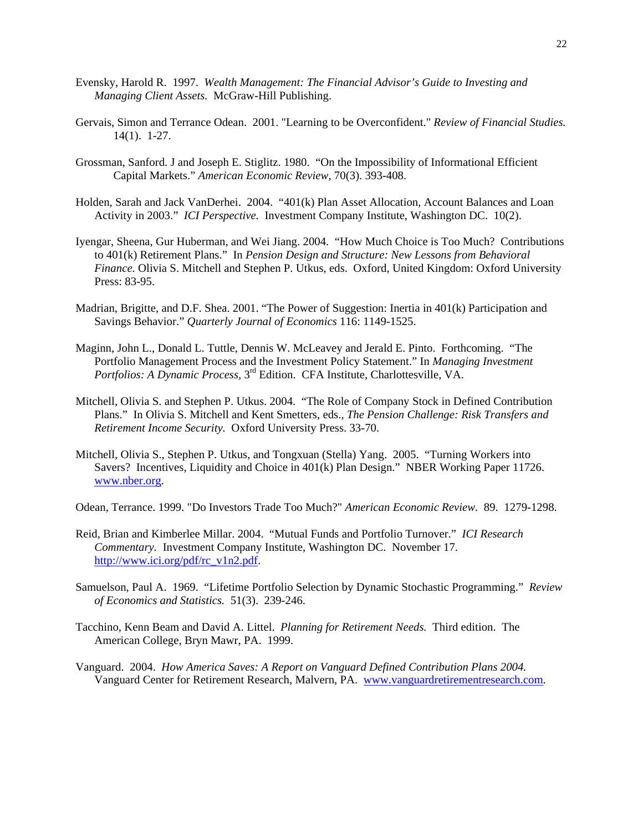- Evensky, Harold R. 1997. *Wealth Management: The Financial Advisor's Guide to Investing and Managing Client Assets.* McGraw-Hill Publishing.
- Gervais, Simon and Terrance Odean. 2001. "Learning to be Overconfident." *Review of Financial Studies.*  14(1). 1-27.
- Grossman, Sanford. J and Joseph E. Stiglitz. 1980. "On the Impossibility of Informational Efficient Capital Markets." *American Economic Review,* 70(3). 393-408.
- Holden, Sarah and Jack VanDerhei. 2004. "401(k) Plan Asset Allocation, Account Balances and Loan Activity in 2003." *ICI Perspective.* Investment Company Institute, Washington DC. 10(2).
- Iyengar, Sheena, Gur Huberman, and Wei Jiang. 2004. "How Much Choice is Too Much? Contributions to 401(k) Retirement Plans." In *Pension Design and Structure: New Lessons from Behavioral Finance.* Olivia S. Mitchell and Stephen P. Utkus, eds. Oxford, United Kingdom: Oxford University Press: 83-95.
- Madrian, Brigitte, and D.F. Shea. 2001. "The Power of Suggestion: Inertia in 401(k) Participation and Savings Behavior." *Quarterly Journal of Economics* 116: 1149-1525.
- Maginn, John L., Donald L. Tuttle, Dennis W. McLeavey and Jerald E. Pinto. Forthcoming. "The Portfolio Management Process and the Investment Policy Statement." In *Managing Investment Portfolios: A Dynamic Process,* 3rd Edition. CFA Institute, Charlottesville, VA.
- Mitchell, Olivia S. and Stephen P. Utkus. 2004. "The Role of Company Stock in Defined Contribution Plans." In Olivia S. Mitchell and Kent Smetters, eds., *The Pension Challenge: Risk Transfers and Retirement Income Security.* Oxford University Press. 33-70.
- Mitchell, Olivia S., Stephen P. Utkus, and Tongxuan (Stella) Yang. 2005. "Turning Workers into Savers? Incentives, Liquidity and Choice in 401(k) Plan Design." NBER Working Paper 11726. www.nber.org.
- Odean, Terrance. 1999. "Do Investors Trade Too Much?" *American Economic Review.* 89. 1279-1298.
- Reid, Brian and Kimberlee Millar. 2004. "Mutual Funds and Portfolio Turnover." *ICI Research Commentary.* Investment Company Institute, Washington DC. November 17. http://www.ici.org/pdf/rc\_v1n2.pdf.
- Samuelson, Paul A. 1969. "Lifetime Portfolio Selection by Dynamic Stochastic Programming." *Review of Economics and Statistics.* 51(3). 239-246.
- Tacchino, Kenn Beam and David A. Littel. *Planning for Retirement Needs.* Third edition. The American College, Bryn Mawr, PA. 1999.
- Vanguard. 2004. *How America Saves: A Report on Vanguard Defined Contribution Plans 2004.*  Vanguard Center for Retirement Research, Malvern, PA. www.vanguardretirementresearch.com.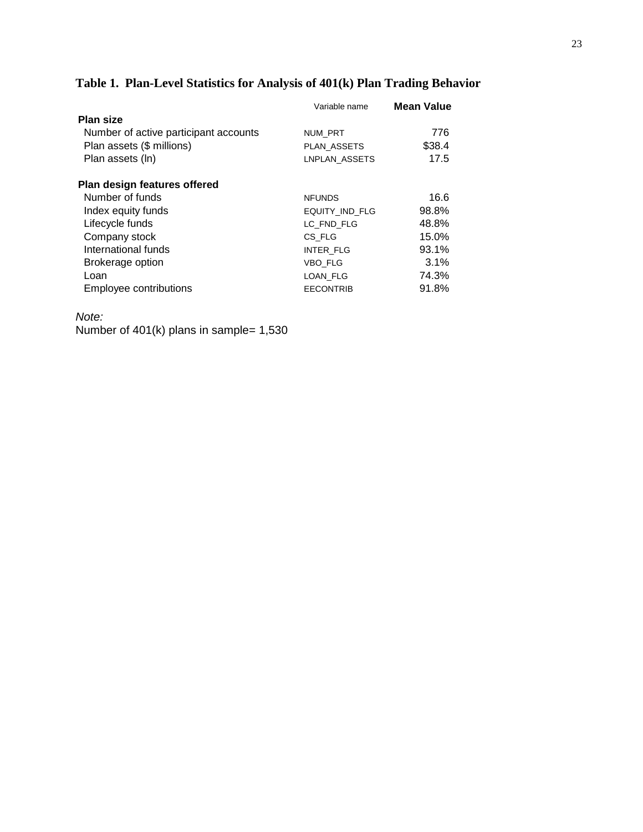# **Table 1. Plan-Level Statistics for Analysis of 401(k) Plan Trading Behavior**

|                                       | Variable name    | <b>Mean Value</b> |
|---------------------------------------|------------------|-------------------|
| <b>Plan size</b>                      |                  |                   |
| Number of active participant accounts | <b>NUM PRT</b>   | 776               |
| Plan assets (\$ millions)             | PLAN ASSETS      | \$38.4            |
| Plan assets (ln)                      | LNPLAN ASSETS    | 17.5              |
| Plan design features offered          |                  |                   |
| Number of funds                       | <b>NFUNDS</b>    | 16.6              |
| Index equity funds                    | EQUITY IND FLG   | 98.8%             |
| Lifecycle funds                       | LC FND FLG       | 48.8%             |
| Company stock                         | CS FLG           | 15.0%             |
| International funds                   | <b>INTER FLG</b> | 93.1%             |
| Brokerage option                      | VBO FLG          | 3.1%              |
| Loan                                  | LOAN_FLG         | 74.3%             |
| Employee contributions                | <b>EECONTRIB</b> | 91.8%             |

*Note:* 

Number of 401(k) plans in sample= 1,530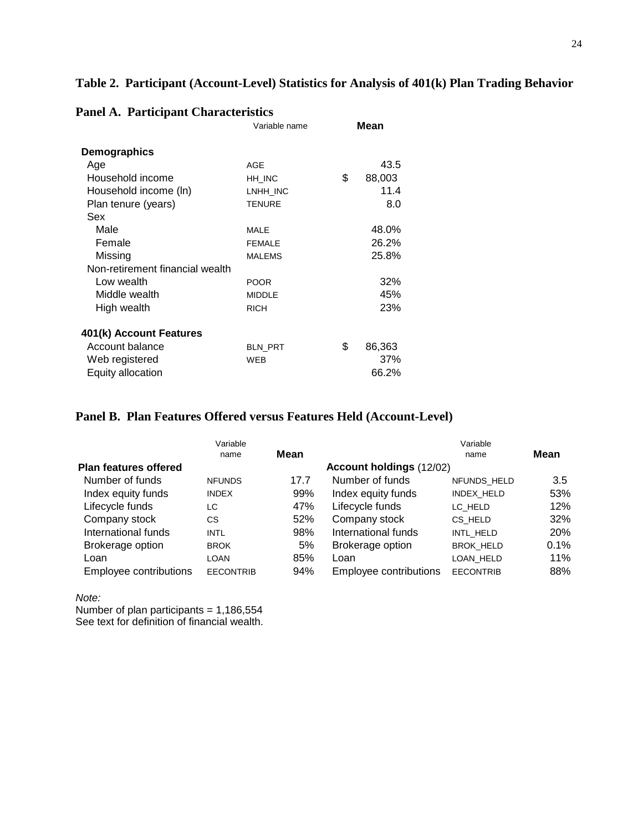# **Table 2. Participant (Account-Level) Statistics for Analysis of 401(k) Plan Trading Behavior**

|                                 | Variable name | Mean         |
|---------------------------------|---------------|--------------|
| <b>Demographics</b>             |               |              |
| Age                             | <b>AGE</b>    | 43.5         |
| Household income                | HH INC        | \$<br>88,003 |
| Household income (ln)           | LNHH_INC      | 11.4         |
| Plan tenure (years)             | <b>TENURE</b> | 8.0          |
| Sex                             |               |              |
| Male                            | <b>MALE</b>   | 48.0%        |
| Female                          | <b>FEMALE</b> | 26.2%        |
| Missing                         | <b>MALEMS</b> | 25.8%        |
| Non-retirement financial wealth |               |              |
| Low wealth                      | <b>POOR</b>   | 32%          |
| Middle wealth                   | <b>MIDDLE</b> | 45%          |
| High wealth                     | <b>RICH</b>   | 23%          |
| 401(k) Account Features         |               |              |
| Account balance                 | BLN_PRT       | \$<br>86,363 |
| Web registered                  | WEB           | 37%          |
| Equity allocation               |               | 66.2%        |

### **Panel A. Participant Characteristics**

## **Panel B. Plan Features Offered versus Features Held (Account-Level)**

|                              | Variable         |      |                          | Variable         |      |
|------------------------------|------------------|------|--------------------------|------------------|------|
|                              | name             | Mean |                          | name             | Mean |
| <b>Plan features offered</b> |                  |      | Account holdings (12/02) |                  |      |
| Number of funds              | <b>NFUNDS</b>    | 17.7 | Number of funds          | NFUNDS HELD      | 3.5  |
| Index equity funds           | <b>INDEX</b>     | 99%  | Index equity funds       | INDEX HELD       | 53%  |
| Lifecycle funds              | LC               | 47%  | Lifecycle funds          | LC HELD          | 12%  |
| Company stock                | СS               | 52%  | Company stock            | CS HELD          | 32%  |
| International funds          | <b>INTL</b>      | 98%  | International funds      | INTL HELD        | 20%  |
| Brokerage option             | <b>BROK</b>      | 5%   | Brokerage option         | <b>BROK HELD</b> | 0.1% |
| Loan                         | LOAN             | 85%  | Loan                     | LOAN HELD        | 11%  |
| Employee contributions       | <b>EECONTRIB</b> | 94%  | Employee contributions   | <b>EECONTRIB</b> | 88%  |

*Note:* 

Number of plan participants = 1,186,554 See text for definition of financial wealth.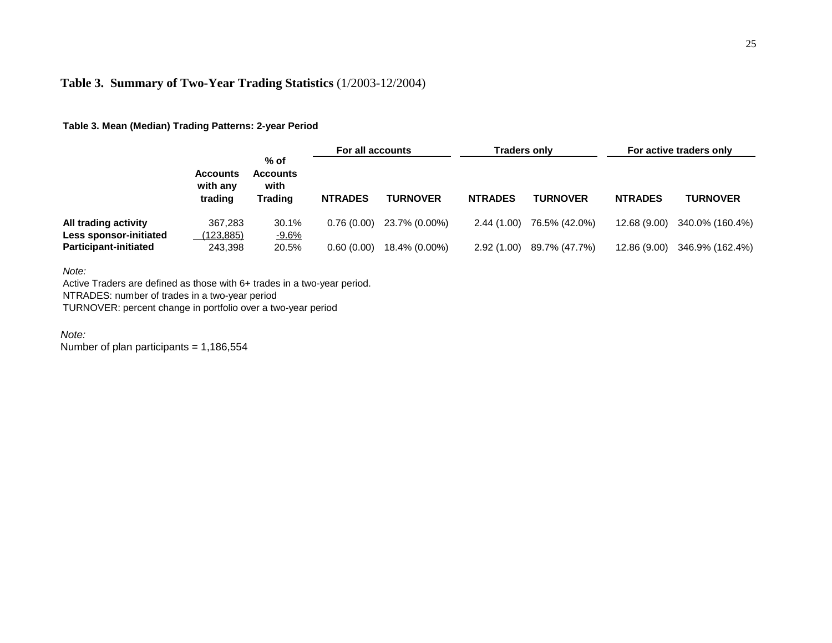# **Table 3. Summary of Two-Year Trading Statistics** (1/2003-12/2004)

### **Table 3. Mean (Median) Trading Patterns: 2-year Period**

|                                                |                                        | $%$ of<br><b>Accounts</b><br>with<br><b>Trading</b> | For all accounts |                 | <b>Traders only</b> |                 |                | For active traders only |
|------------------------------------------------|----------------------------------------|-----------------------------------------------------|------------------|-----------------|---------------------|-----------------|----------------|-------------------------|
|                                                | <b>Accounts</b><br>with any<br>trading |                                                     | <b>NTRADES</b>   | <b>TURNOVER</b> | <b>NTRADES</b>      | <b>TURNOVER</b> | <b>NTRADES</b> | <b>TURNOVER</b>         |
| All trading activity<br>Less sponsor-initiated | 367.283<br><u>(123,885)</u>            | 30.1%<br>$-9.6%$                                    | 0.76(0.00)       | 23.7% (0.00%)   | 2.44(1.00)          | 76.5% (42.0%)   | 12.68 (9.00)   | 340.0% (160.4%)         |
| <b>Participant-initiated</b>                   | 243,398                                | 20.5%                                               | 0.60(0.00)       | 18.4% (0.00%)   | 2.92(1.00)          | 89.7% (47.7%)   | 12.86 (9.00)   | 346.9% (162.4%)         |

*Note:*

Active Traders are defined as those with 6+ trades in a two-year period.

NTRADES: number of trades in a two-year period

TURNOVER: percent change in portfolio over a two-year period

*Note:* Number of plan participants =  $1,186,554$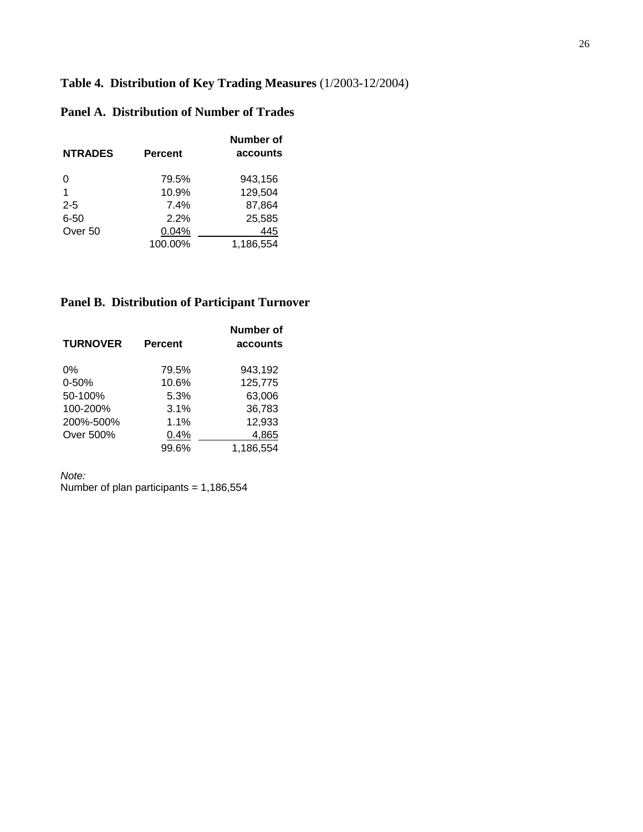# **Table 4. Distribution of Key Trading Measures** (1/2003-12/2004)

# **Panel A. Distribution of Number of Trades**

| <b>NTRADES</b> | Percent | Number of<br>accounts |
|----------------|---------|-----------------------|
| 0              | 79.5%   | 943,156               |
|                | 10.9%   | 129,504               |
| $2 - 5$        | 7.4%    | 87,864                |
| $6 - 50$       | 2.2%    | 25,585                |
| Over 50        | 0.04%   | 445                   |
|                | 100.00% | 1,186,554             |

# **Panel B. Distribution of Participant Turnover**

| <b>TURNOVER</b> | <b>Percent</b> | Number of<br>accounts |
|-----------------|----------------|-----------------------|
| $0\%$           | 79.5%          | 943,192               |
| $0 - 50%$       | 10.6%          | 125,775               |
| 50-100%         | 5.3%           | 63,006                |
| 100-200%        | 3.1%           | 36,783                |
| 200%-500%       | 1.1%           | 12,933                |
| Over 500%       | 0.4%           | 4,865                 |
|                 | 99.6%          | 1,186,554             |

*Note:* 

Number of plan participants = 1,186,554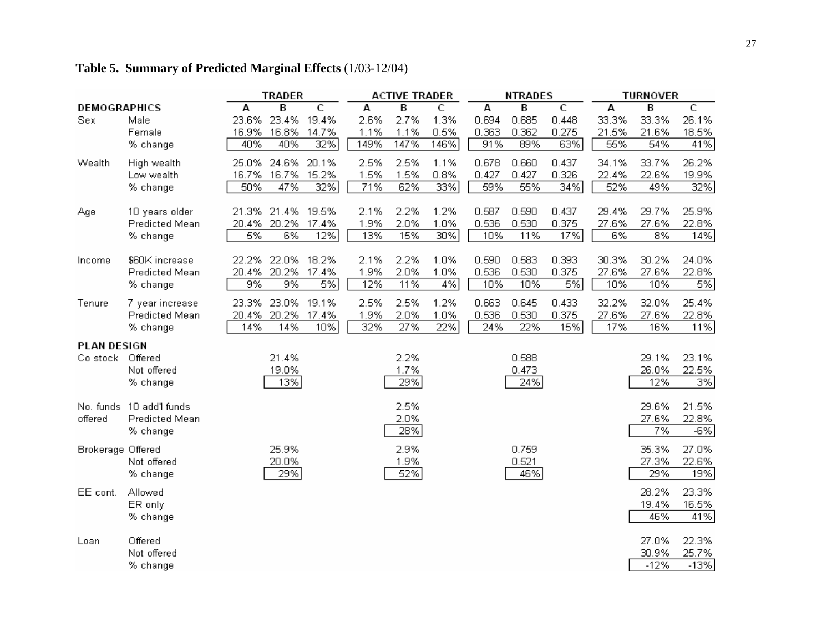# **Table 5. Summary of Predicted Marginal Effects** (1/03-12/04)

|                     |                          |       | TRADER            |       |      | <b>ACTIVE TRADER</b> |      |       | <b>NTRADES</b> |       |       | <b>TURNOVER</b> |        |
|---------------------|--------------------------|-------|-------------------|-------|------|----------------------|------|-------|----------------|-------|-------|-----------------|--------|
| <b>DEMOGRAPHICS</b> |                          | А     | B                 | C     | A    | В                    | C    | А     | В              | C     | А     | В               | C      |
| Sex                 | Male                     | 23.6% | 23.4%             | 19.4% | 2.6% | 2.7%                 | 1.3% | 0.694 | 0.685          | 0.448 | 33.3% | 33.3%           | 26.1%  |
|                     | Female                   | 16.9% | 16.8%             | 14.7% | 1.1% | 1.1%                 | 0.5% | 0.363 | 0.362          | 0.275 | 21.5% | 21.6%           | 18.5%  |
|                     | % change                 | 40%   | 40%               | 32%   | 149% | 147%                 | 146% | 91%   | 89%            | 63%   | 55%   | 54%             | 41%    |
| Wealth              | High wealth              | 25.0% | 24.6% 20.1%       |       | 2.5% | 2.5%                 | 1.1% | 0.678 | 0.660          | 0.437 | 34.1% | 33.7%           | 26.2%  |
|                     | Low wealth               | 16.7% | 16.7%             | 15.2% | 1.5% | 1.5%                 | 0.8% | 0.427 | 0.427          | 0.326 | 22.4% | 22.6%           | 19.9%  |
|                     | % change                 | 50%   | 47%               | 32%   | 71%  | 62%                  | 33%  | 59%   | 55%            | 34%   | 52%   | 49%             | 32%    |
| Age                 | 10 years older           |       | 21.3% 21.4% 19.5% |       | 2.1% | 2.2%                 | 1.2% | 0.587 | 0.590          | 0.437 | 29.4% | 29.7%           | 25.9%  |
|                     | Predicted Mean           | 20.4% | 20.2%             | 17.4% | 1.9% | 2.0%                 | 1.0% | 0.536 | 0.530          | 0.375 | 27.6% | 27.6%           | 22.8%  |
|                     | % change                 | 5%    | 6%                | 12%   | 13%  | 15%                  | 30%  | 10%   | 11%            | 17%   | 6%    | 8%              | 14%    |
|                     |                          |       |                   |       |      |                      |      |       |                |       |       |                 |        |
| Income              | \$60K increase           |       | 22.2% 22.0% 18.2% |       | 2.1% | 2.2%                 | 1.0% | 0.590 | 0.583          | 0.393 | 30.3% | 30.2%           | 24.0%  |
|                     | Predicted Mean           | 20.4% | 20.2%             | 17.4% | 1.9% | 2.0%                 | 1.0% | 0.536 | 0.530          | 0.375 | 27.6% | 27.6%           | 22.8%  |
|                     | % change                 | 9%    | 9%                | 5%    | 12%  | 11%                  | 4%   | 10%   | 10%            | 5%    | 10%   | 10%             | 5%     |
| Tenure              | 7 year increase          |       | 23.3% 23.0% 19.1% |       | 2.5% | 2.5%                 | 1.2% | 0.663 | 0.645          | 0.433 | 32.2% | 32.0%           | 25.4%  |
|                     | Predicted Mean           |       | 20.4% 20.2% 17.4% |       | 1.9% | 2.0%                 | 1.0% | 0.536 | 0.530          | 0.375 | 27.6% | 27.6%           | 22.8%  |
|                     | % change                 | 14%   | 14%               | 10%   | 32%  | 27%                  | 22%  | 24%   | 22%            | 15%   | 17%   | 16%             | 11%    |
| <b>PLAN DESIGN</b>  |                          |       |                   |       |      |                      |      |       |                |       |       |                 |        |
| Co stock            | Offered                  |       | 21.4%             |       |      | 2.2%                 |      |       | 0.588          |       |       | 29.1%           | 23.1%  |
|                     | Not offered              |       | 19.0%             |       |      | 1.7%                 |      |       | 0.473          |       |       | 26.0%           | 22.5%  |
|                     | % change                 |       | 13%               |       |      | 29%                  |      |       | 24%            |       |       | 12%             | 3%     |
|                     |                          |       |                   |       |      |                      |      |       |                |       |       |                 |        |
|                     | No. funds 10 add'l funds |       |                   |       |      | 2.5%                 |      |       |                |       |       | 29.6%           | 21.5%  |
| offered             | Predicted Mean           |       |                   |       |      | 2.0%                 |      |       |                |       |       | 27.6%           | 22.8%  |
|                     | % change                 |       |                   |       |      | 28%                  |      |       |                |       |       | 7%              | -6%    |
| Brokerage Offered   |                          |       | 25.9%             |       |      | 2.9%                 |      |       | 0.759          |       |       | 35.3%           | 27.0%  |
|                     | Not offered              |       | 20.0%             |       |      | 1.9%                 |      |       | 0.521          |       |       | 27.3%           | 22.6%  |
|                     | % change                 |       | 29%               |       |      | 52%                  |      |       | 46%            |       |       | 29%             | 19%    |
| EE cont.            | Allowed                  |       |                   |       |      |                      |      |       |                |       |       | 28.2%           | 23.3%  |
|                     | ER only                  |       |                   |       |      |                      |      |       |                |       |       | 19.4%           | 16.5%  |
|                     | % change                 |       |                   |       |      |                      |      |       |                |       |       | 46%             | 41%    |
|                     |                          |       |                   |       |      |                      |      |       |                |       |       |                 |        |
| Loan                | Offered                  |       |                   |       |      |                      |      |       |                |       |       | 27.0%           | 22.3%  |
|                     | Not offered              |       |                   |       |      |                      |      |       |                |       |       | 30.9%           | 25.7%  |
|                     | % change                 |       |                   |       |      |                      |      |       |                |       |       | $-12%$          | $-13%$ |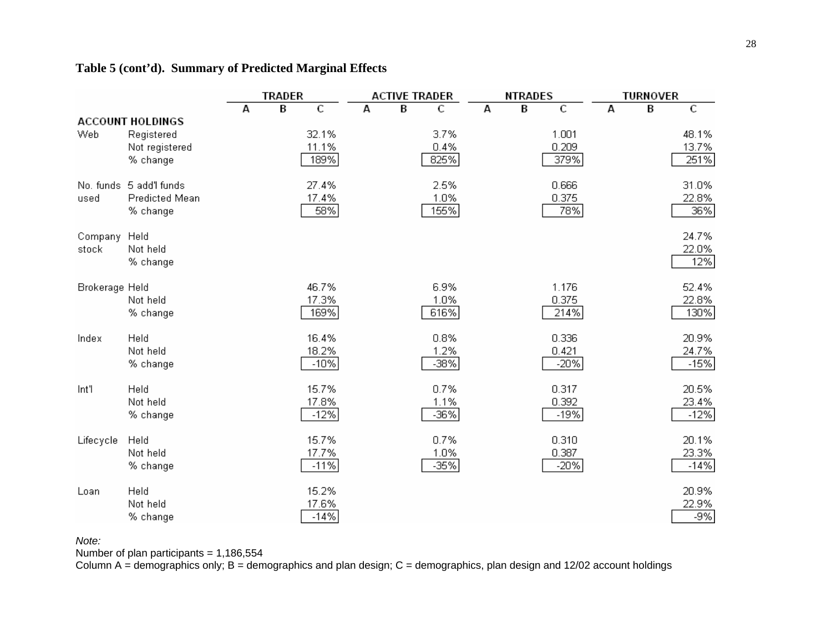|                |                         |   | <b>TRADER</b> |              |   | <b>ACTIVE TRADER</b> |        |   | <b>NTRADES</b> |        |   | <b>TURNOVER</b> |        |
|----------------|-------------------------|---|---------------|--------------|---|----------------------|--------|---|----------------|--------|---|-----------------|--------|
|                |                         | А | B             | $\mathsf{C}$ | А | B                    | С      | А | B              | C      | А | В               | C      |
|                | <b>ACCOUNT HOLDINGS</b> |   |               |              |   |                      |        |   |                |        |   |                 |        |
| Web            | Registered              |   |               | 32.1%        |   |                      | 3.7%   |   |                | 1.001  |   |                 | 48.1%  |
|                | Not registered          |   |               | 11.1%        |   |                      | 0.4%   |   |                | 0.209  |   |                 | 13.7%  |
|                | % change                |   |               | 189%         |   |                      | 825%   |   |                | 379%   |   |                 | 251%   |
|                | No. funds 5 add'l funds |   |               | 27.4%        |   |                      | 2.5%   |   |                | 0.666  |   |                 | 31.0%  |
| used           | <b>Predicted Mean</b>   |   |               | 17.4%        |   |                      | 1.0%   |   |                | 0.375  |   |                 | 22.8%  |
|                | % change                |   |               | 58%          |   |                      | 155%   |   |                | 78%    |   |                 | 36%    |
| Company        | Held                    |   |               |              |   |                      |        |   |                |        |   |                 | 24.7%  |
| stock          | Not held                |   |               |              |   |                      |        |   |                |        |   |                 | 22.0%  |
|                | % change                |   |               |              |   |                      |        |   |                |        |   |                 | 12%    |
| Brokerage Held |                         |   |               | 46.7%        |   |                      | 6.9%   |   |                | 1.176  |   |                 | 52.4%  |
|                | Not held                |   |               | 17.3%        |   |                      | 1.0%   |   |                | 0.375  |   |                 | 22.8%  |
|                | % change                |   |               | 169%         |   |                      | 616%   |   |                | 214%   |   |                 | 130%   |
| Index          | Held                    |   |               | 16.4%        |   |                      | 0.8%   |   |                | 0.336  |   |                 | 20.9%  |
|                | Not held                |   |               | 18.2%        |   |                      | 1.2%   |   |                | 0.421  |   |                 | 24.7%  |
|                | % change                |   |               | $-10%$       |   |                      | $-38%$ |   |                | $-20%$ |   |                 | $-15%$ |
| Int'l          | Held                    |   |               | 15.7%        |   |                      | 0.7%   |   |                | 0.317  |   |                 | 20.5%  |
|                | Not held                |   |               | 17.8%        |   |                      | 1.1%   |   |                | 0.392  |   |                 | 23.4%  |
|                | % change                |   |               | $-12%$       |   |                      | -36%   |   |                | $-19%$ |   |                 | $-12%$ |
| Lifecycle      | Held                    |   |               | 15.7%        |   |                      | 0.7%   |   |                | 0.310  |   |                 | 20.1%  |
|                | Not held                |   |               | 17.7%        |   |                      | 1.0%   |   |                | 0.387  |   |                 | 23.3%  |
|                | % change                |   |               | $-11%$       |   |                      | $-35%$ |   |                | $-20%$ |   |                 | $-14%$ |
| Loan           | Held                    |   |               | 15.2%        |   |                      |        |   |                |        |   |                 | 20.9%  |
|                | Not held                |   |               | 17.6%        |   |                      |        |   |                |        |   |                 | 22.9%  |
|                | % change                |   |               | $-14%$       |   |                      |        |   |                |        |   |                 | $-9%$  |

# **Table 5 (cont'd). Summary of Predicted Marginal Effects**

*Note:* 

Number of plan participants = 1,186,554

Column A = demographics only; B = demographics and plan design; C = demographics, plan design and 12/02 account holdings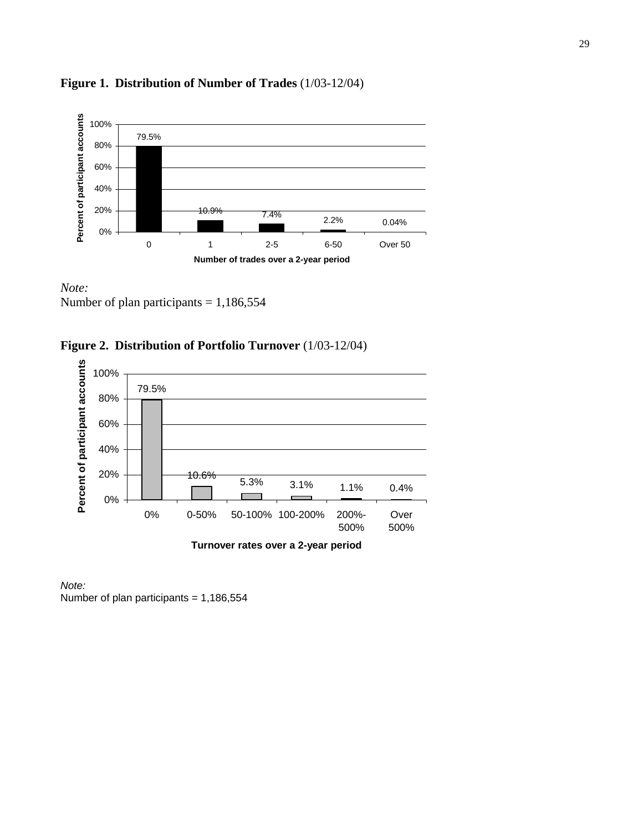

# **Figure 1. Distribution of Number of Trades** (1/03-12/04)

*Note:*  Number of plan participants = 1,186,554





*Note:*  Number of plan participants = 1,186,554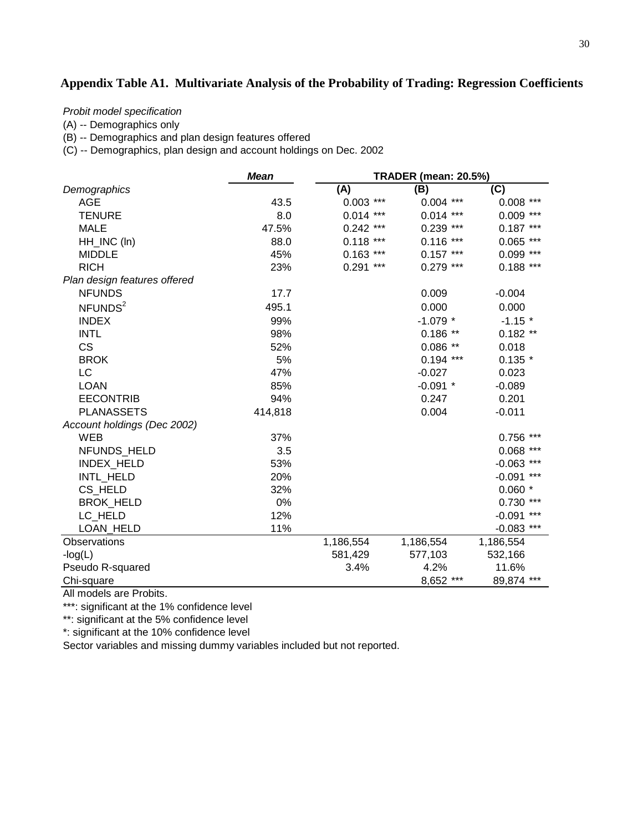# **Appendix Table A1. Multivariate Analysis of the Probability of Trading: Regression Coefficients**

*Probit model specification*

(A) -- Demographics only

(B) -- Demographics and plan design features offered

(C) -- Demographics, plan design and account holdings on Dec. 2002

|                              | <b>Mean</b> | <b>TRADER (mean: 20.5%)</b> |              |                   |  |  |  |
|------------------------------|-------------|-----------------------------|--------------|-------------------|--|--|--|
| Demographics                 |             | (A)                         | (B)          | (C)               |  |  |  |
| <b>AGE</b>                   | 43.5        | $0.003$ ***                 | $0.004$ ***  | $0.008$ ***       |  |  |  |
| <b>TENURE</b>                | 8.0         | $0.014$ ***                 | $0.014$ ***  | $0.009$ ***       |  |  |  |
| <b>MALE</b>                  | 47.5%       | $0.242$ ***                 | 0.239<br>*** | $0.187***$        |  |  |  |
| HH_INC (In)                  | 88.0        | $0.118$ ***                 | 0.116<br>*** | $0.065$ ***       |  |  |  |
| <b>MIDDLE</b>                | 45%         | $0.163$ ***                 | $0.157***$   | $***$<br>0.099    |  |  |  |
| <b>RICH</b>                  | 23%         | $0.291$ ***                 | $0.279$ ***  | $0.188$ ***       |  |  |  |
| Plan design features offered |             |                             |              |                   |  |  |  |
| <b>NFUNDS</b>                | 17.7        |                             | 0.009        | $-0.004$          |  |  |  |
| NFUNDS <sup>2</sup>          | 495.1       |                             | 0.000        | 0.000             |  |  |  |
| <b>INDEX</b>                 | 99%         |                             | $-1.079$ *   | $-1.15$ *         |  |  |  |
| <b>INTL</b>                  | 98%         |                             | $0.186**$    | $0.182**$         |  |  |  |
| <b>CS</b>                    | 52%         |                             | $0.086**$    | 0.018             |  |  |  |
| <b>BROK</b>                  | 5%          |                             | $0.194$ ***  | $0.135*$          |  |  |  |
| LC                           | 47%         |                             | $-0.027$     | 0.023             |  |  |  |
| <b>LOAN</b>                  | 85%         |                             | $-0.091$ *   | $-0.089$          |  |  |  |
| <b>EECONTRIB</b>             | 94%         |                             | 0.247        | 0.201             |  |  |  |
| <b>PLANASSETS</b>            | 414,818     |                             | 0.004        | $-0.011$          |  |  |  |
| Account holdings (Dec 2002)  |             |                             |              |                   |  |  |  |
| <b>WEB</b>                   | 37%         |                             |              | ***<br>0.756      |  |  |  |
| NFUNDS HELD                  | 3.5         |                             |              | $***$<br>0.068    |  |  |  |
| INDEX_HELD                   | 53%         |                             |              | ***<br>$-0.063$   |  |  |  |
| INTL_HELD                    | 20%         |                             |              | $-0.091$ ***      |  |  |  |
| CS_HELD                      | 32%         |                             |              | $0.060*$          |  |  |  |
| <b>BROK_HELD</b>             | 0%          |                             |              | 0.730<br>***      |  |  |  |
| LC HELD                      | 12%         |                             |              | $***$<br>$-0.091$ |  |  |  |
| LOAN HELD                    | 11%         |                             |              | $-0.083$ ***      |  |  |  |
| Observations                 |             | 1,186,554                   | 1,186,554    | 1,186,554         |  |  |  |
| $-log(L)$                    |             | 581,429                     | 577,103      | 532,166           |  |  |  |
| Pseudo R-squared             |             | 3.4%                        | 4.2%         | 11.6%             |  |  |  |
| Chi-square                   |             |                             | 8,652 ***    | 89,874 ***        |  |  |  |

All models are Probits.

\*\*\*: significant at the 1% confidence level

\*\*: significant at the 5% confidence level

\*: significant at the 10% confidence level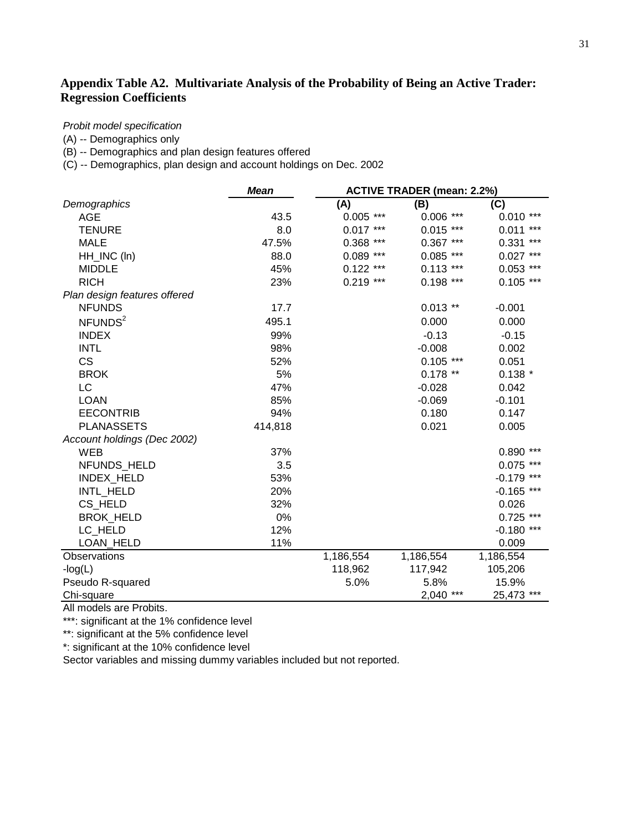# **Appendix Table A2. Multivariate Analysis of the Probability of Being an Active Trader: Regression Coefficients**

#### *Probit model specification*

(A) -- Demographics only

(B) -- Demographics and plan design features offered

(C) -- Demographics, plan design and account holdings on Dec. 2002

|                              | <b>Mean</b> | <b>ACTIVE TRADER (mean: 2.2%)</b> |                |              |  |  |  |
|------------------------------|-------------|-----------------------------------|----------------|--------------|--|--|--|
| Demographics                 |             | (A)                               | (B)            | (C)          |  |  |  |
| <b>AGE</b>                   | 43.5        | $0.005$ ***                       | $0.006$ ***    | $0.010***$   |  |  |  |
| <b>TENURE</b>                | 8.0         | $0.017***$                        | $0.015$ ***    | $0.011***$   |  |  |  |
| <b>MALE</b>                  | 47.5%       | 0.368<br>***                      | $0.367$ ***    | ***<br>0.331 |  |  |  |
| HH_INC (In)                  | 88.0        | $0.089$ ***                       | $0.085$ ***    | $0.027$ ***  |  |  |  |
| <b>MIDDLE</b>                | 45%         | $0.122$ ***                       | $0.113$ ***    | $0.053$ ***  |  |  |  |
| <b>RICH</b>                  | 23%         | $0.219$ ***                       | $0.198$ ***    | $0.105$ ***  |  |  |  |
| Plan design features offered |             |                                   |                |              |  |  |  |
| <b>NFUNDS</b>                | 17.7        |                                   | $0.013$ **     | $-0.001$     |  |  |  |
| NFUNDS <sup>2</sup>          | 495.1       |                                   | 0.000          | 0.000        |  |  |  |
| <b>INDEX</b>                 | 99%         |                                   | $-0.13$        | $-0.15$      |  |  |  |
| <b>INTL</b>                  | 98%         |                                   | $-0.008$       | 0.002        |  |  |  |
| <b>CS</b>                    | 52%         |                                   | $0.105$ ***    | 0.051        |  |  |  |
| <b>BROK</b>                  | 5%          |                                   | $0.178**$      | $0.138*$     |  |  |  |
| LC                           | 47%         |                                   | $-0.028$       | 0.042        |  |  |  |
| <b>LOAN</b>                  | 85%         |                                   | $-0.069$       | $-0.101$     |  |  |  |
| <b>EECONTRIB</b>             | 94%         |                                   | 0.180          | 0.147        |  |  |  |
| <b>PLANASSETS</b>            | 414,818     |                                   | 0.021          | 0.005        |  |  |  |
| Account holdings (Dec 2002)  |             |                                   |                |              |  |  |  |
| <b>WEB</b>                   | 37%         |                                   |                | $0.890$ ***  |  |  |  |
| NFUNDS HELD                  | 3.5         |                                   |                | $0.075$ ***  |  |  |  |
| INDEX_HELD                   | 53%         |                                   |                | $-0.179$ *** |  |  |  |
| INTL_HELD                    | 20%         |                                   |                | $-0.165$ *** |  |  |  |
| CS HELD                      | 32%         |                                   |                | 0.026        |  |  |  |
| <b>BROK HELD</b>             | 0%          |                                   |                | $0.725$ ***  |  |  |  |
| LC HELD                      | 12%         |                                   |                | $-0.180$ *** |  |  |  |
| LOAN_HELD                    | 11%         |                                   |                | 0.009        |  |  |  |
| Observations                 |             | 1,186,554                         | 1,186,554      | 1,186,554    |  |  |  |
| $-log(L)$                    |             | 118,962                           | 117,942        | 105,206      |  |  |  |
| Pseudo R-squared             |             | 5.0%                              | 5.8%           | 15.9%        |  |  |  |
| Chi-square                   |             |                                   | $***$<br>2,040 | 25,473 ***   |  |  |  |

All models are Probits.

\*\*\*: significant at the 1% confidence level

\*\*: significant at the 5% confidence level

\*: significant at the 10% confidence level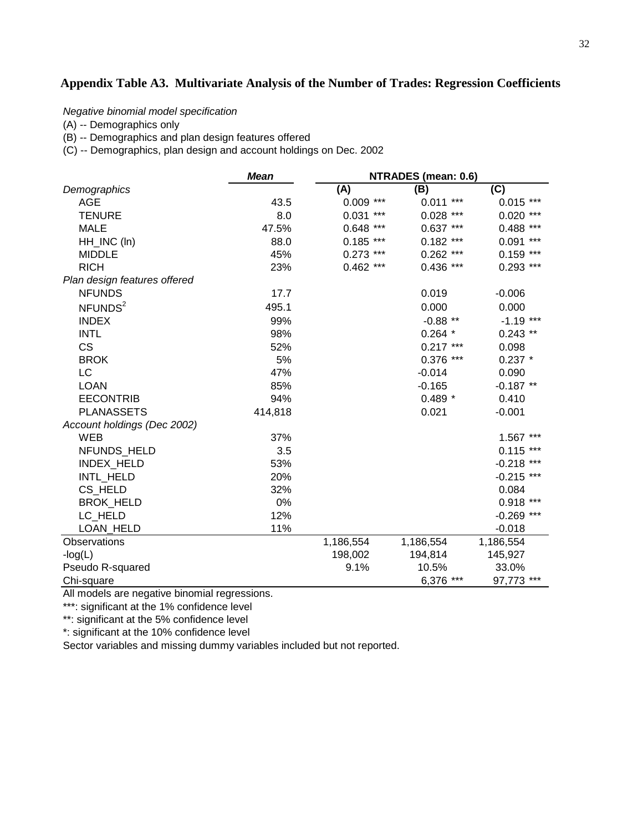# **Appendix Table A3. Multivariate Analysis of the Number of Trades: Regression Coefficients**

*Negative binomial model specification*

(A) -- Demographics only

(B) -- Demographics and plan design features offered

(C) -- Demographics, plan design and account holdings on Dec. 2002

|                              | <b>Mean</b> | NTRADES (mean: 0.6) |                |                 |  |  |  |
|------------------------------|-------------|---------------------|----------------|-----------------|--|--|--|
| Demographics                 |             | (A)                 | (B)            | (C)             |  |  |  |
| <b>AGE</b>                   | 43.5        | $0.009$ ***         | $0.011***$     | $0.015$ ***     |  |  |  |
| <b>TENURE</b>                | 8.0         | 0.031<br>$***$      | $0.028$ ***    | 0.020<br>***    |  |  |  |
| <b>MALE</b>                  | 47.5%       | 0.648<br>***        | $0.637***$     | ***<br>0.488    |  |  |  |
| HH_INC (In)                  | 88.0        | $0.185$ ***         | $0.182$ ***    | $***$<br>0.091  |  |  |  |
| <b>MIDDLE</b>                | 45%         | 0.273<br>***        | $0.262$ ***    | 0.159<br>***    |  |  |  |
| <b>RICH</b>                  | 23%         | $0.462$ ***         | $0.436$ ***    | $0.293$ ***     |  |  |  |
| Plan design features offered |             |                     |                |                 |  |  |  |
| <b>NFUNDS</b>                | 17.7        |                     | 0.019          | $-0.006$        |  |  |  |
| NFUNDS <sup>2</sup>          | 495.1       |                     | 0.000          | 0.000           |  |  |  |
| <b>INDEX</b>                 | 99%         |                     | $-0.88$ **     | $-1.19$ ***     |  |  |  |
| <b>INTL</b>                  | 98%         |                     | $0.264*$       | $0.243$ **      |  |  |  |
| <b>CS</b>                    | 52%         |                     | $0.217***$     | 0.098           |  |  |  |
| <b>BROK</b>                  | 5%          |                     | $0.376$ ***    | $0.237$ *       |  |  |  |
| LC                           | 47%         |                     | $-0.014$       | 0.090           |  |  |  |
| <b>LOAN</b>                  | 85%         |                     | $-0.165$       | $-0.187$ **     |  |  |  |
| <b>EECONTRIB</b>             | 94%         |                     | $0.489*$       | 0.410           |  |  |  |
| <b>PLANASSETS</b>            | 414,818     |                     | 0.021          | $-0.001$        |  |  |  |
| Account holdings (Dec 2002)  |             |                     |                |                 |  |  |  |
| WEB                          | 37%         |                     |                | 1.567 ***       |  |  |  |
| NFUNDS HELD                  | 3.5         |                     |                | 0.115<br>***    |  |  |  |
| INDEX_HELD                   | 53%         |                     |                | ***<br>$-0.218$ |  |  |  |
| INTL_HELD                    | 20%         |                     |                | $-0.215$ ***    |  |  |  |
| CS_HELD                      | 32%         |                     |                | 0.084           |  |  |  |
| <b>BROK_HELD</b>             | 0%          |                     |                | $0.918$ ***     |  |  |  |
| LC_HELD                      | 12%         |                     |                | $-0.269$ ***    |  |  |  |
| <b>LOAN HELD</b>             | 11%         |                     |                | $-0.018$        |  |  |  |
| Observations                 |             | 1,186,554           | 1,186,554      | 1,186,554       |  |  |  |
| $-log(L)$                    |             | 198,002             | 194,814        | 145,927         |  |  |  |
| Pseudo R-squared             |             | 9.1%                | 10.5%          | 33.0%           |  |  |  |
| Chi-square                   |             |                     | $***$<br>6,376 | 97,773<br>***   |  |  |  |

All models are negative binomial regressions.

\*\*\*: significant at the 1% confidence level

\*\*: significant at the 5% confidence level

\*: significant at the 10% confidence level